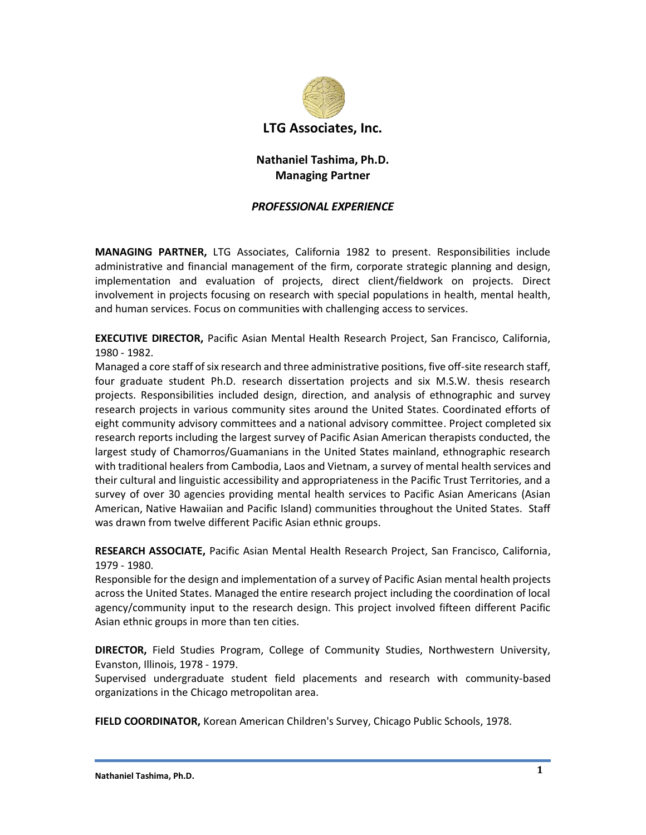

# **Nathaniel Tashima, Ph.D. Managing Partner**

# *PROFESSIONAL EXPERIENCE*

**MANAGING PARTNER,** LTG Associates, California 1982 to present. Responsibilities include administrative and financial management of the firm, corporate strategic planning and design, implementation and evaluation of projects, direct client/fieldwork on projects. Direct involvement in projects focusing on research with special populations in health, mental health, and human services. Focus on communities with challenging access to services.

**EXECUTIVE DIRECTOR,** Pacific Asian Mental Health Research Project, San Francisco, California, 1980 - 1982.

Managed a core staff of six research and three administrative positions, five off-site research staff, four graduate student Ph.D. research dissertation projects and six M.S.W. thesis research projects. Responsibilities included design, direction, and analysis of ethnographic and survey research projects in various community sites around the United States. Coordinated efforts of eight community advisory committees and a national advisory committee. Project completed six research reports including the largest survey of Pacific Asian American therapists conducted, the largest study of Chamorros/Guamanians in the United States mainland, ethnographic research with traditional healers from Cambodia, Laos and Vietnam, a survey of mental health services and their cultural and linguistic accessibility and appropriateness in the Pacific Trust Territories, and a survey of over 30 agencies providing mental health services to Pacific Asian Americans (Asian American, Native Hawaiian and Pacific Island) communities throughout the United States. Staff was drawn from twelve different Pacific Asian ethnic groups.

**RESEARCH ASSOCIATE,** Pacific Asian Mental Health Research Project, San Francisco, California, 1979 - 1980.

Responsible for the design and implementation of a survey of Pacific Asian mental health projects across the United States. Managed the entire research project including the coordination of local agency/community input to the research design. This project involved fifteen different Pacific Asian ethnic groups in more than ten cities.

**DIRECTOR,** Field Studies Program, College of Community Studies, Northwestern University, Evanston, Illinois, 1978 - 1979.

Supervised undergraduate student field placements and research with community-based organizations in the Chicago metropolitan area.

**FIELD COORDINATOR,** Korean American Children's Survey, Chicago Public Schools, 1978.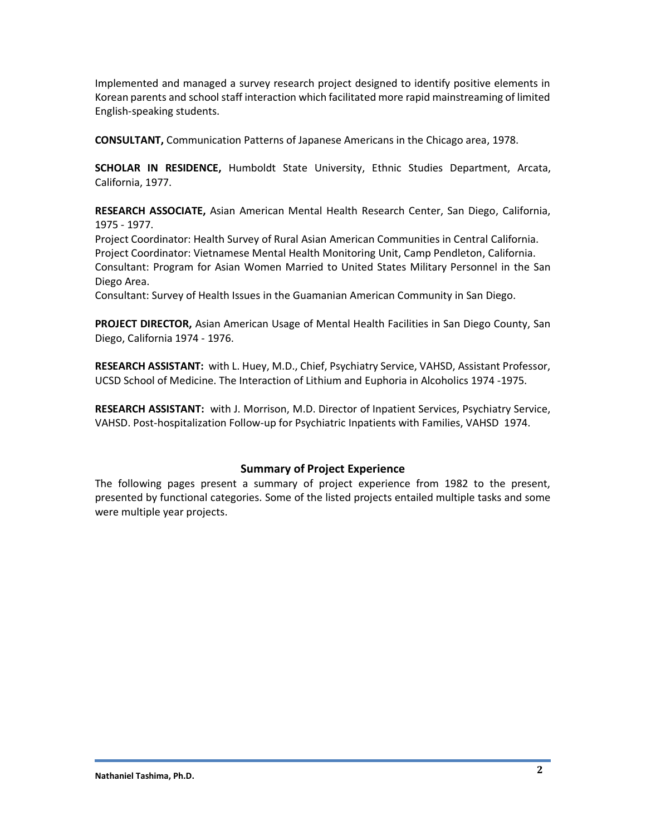Implemented and managed a survey research project designed to identify positive elements in Korean parents and school staff interaction which facilitated more rapid mainstreaming of limited English-speaking students.

**CONSULTANT,** Communication Patterns of Japanese Americans in the Chicago area, 1978.

**SCHOLAR IN RESIDENCE,** Humboldt State University, Ethnic Studies Department, Arcata, California, 1977.

**RESEARCH ASSOCIATE,** Asian American Mental Health Research Center, San Diego, California, 1975 - 1977.

Project Coordinator: Health Survey of Rural Asian American Communities in Central California. Project Coordinator: Vietnamese Mental Health Monitoring Unit, Camp Pendleton, California. Consultant: Program for Asian Women Married to United States Military Personnel in the San Diego Area.

Consultant: Survey of Health Issues in the Guamanian American Community in San Diego.

**PROJECT DIRECTOR,** Asian American Usage of Mental Health Facilities in San Diego County, San Diego, California 1974 - 1976.

**RESEARCH ASSISTANT:** with L. Huey, M.D., Chief, Psychiatry Service, VAHSD, Assistant Professor, UCSD School of Medicine. The Interaction of Lithium and Euphoria in Alcoholics 1974 -1975.

**RESEARCH ASSISTANT:** with J. Morrison, M.D. Director of Inpatient Services, Psychiatry Service, VAHSD. Post-hospitalization Follow-up for Psychiatric Inpatients with Families, VAHSD 1974.

# **Summary of Project Experience**

The following pages present a summary of project experience from 1982 to the present, presented by functional categories. Some of the listed projects entailed multiple tasks and some were multiple year projects.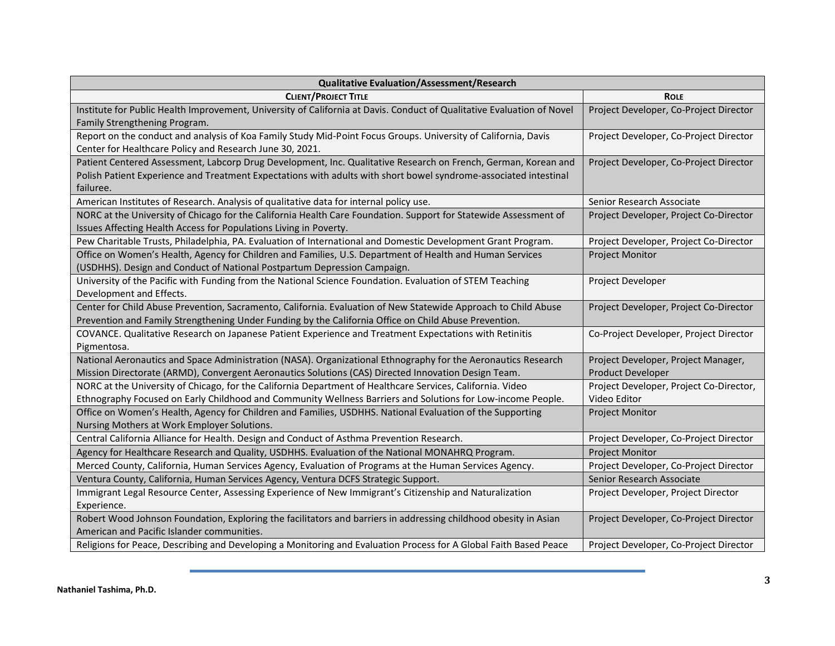| <b>Qualitative Evaluation/Assessment/Research</b>                                                                                                                                                                                               |                                         |
|-------------------------------------------------------------------------------------------------------------------------------------------------------------------------------------------------------------------------------------------------|-----------------------------------------|
| <b>CLIENT/PROJECT TITLE</b>                                                                                                                                                                                                                     | <b>ROLE</b>                             |
| Institute for Public Health Improvement, University of California at Davis. Conduct of Qualitative Evaluation of Novel                                                                                                                          | Project Developer, Co-Project Director  |
| Family Strengthening Program.                                                                                                                                                                                                                   |                                         |
| Report on the conduct and analysis of Koa Family Study Mid-Point Focus Groups. University of California, Davis<br>Center for Healthcare Policy and Research June 30, 2021.                                                                      | Project Developer, Co-Project Director  |
| Patient Centered Assessment, Labcorp Drug Development, Inc. Qualitative Research on French, German, Korean and<br>Polish Patient Experience and Treatment Expectations with adults with short bowel syndrome-associated intestinal<br>failuree. | Project Developer, Co-Project Director  |
| American Institutes of Research. Analysis of qualitative data for internal policy use.                                                                                                                                                          | Senior Research Associate               |
| NORC at the University of Chicago for the California Health Care Foundation. Support for Statewide Assessment of<br>Issues Affecting Health Access for Populations Living in Poverty.                                                           | Project Developer, Project Co-Director  |
| Pew Charitable Trusts, Philadelphia, PA. Evaluation of International and Domestic Development Grant Program.                                                                                                                                    | Project Developer, Project Co-Director  |
| Office on Women's Health, Agency for Children and Families, U.S. Department of Health and Human Services<br>(USDHHS). Design and Conduct of National Postpartum Depression Campaign.                                                            | <b>Project Monitor</b>                  |
| University of the Pacific with Funding from the National Science Foundation. Evaluation of STEM Teaching<br>Development and Effects.                                                                                                            | Project Developer                       |
| Center for Child Abuse Prevention, Sacramento, California. Evaluation of New Statewide Approach to Child Abuse<br>Prevention and Family Strengthening Under Funding by the California Office on Child Abuse Prevention.                         | Project Developer, Project Co-Director  |
| COVANCE. Qualitative Research on Japanese Patient Experience and Treatment Expectations with Retinitis<br>Pigmentosa.                                                                                                                           | Co-Project Developer, Project Director  |
| National Aeronautics and Space Administration (NASA). Organizational Ethnography for the Aeronautics Research                                                                                                                                   | Project Developer, Project Manager,     |
| Mission Directorate (ARMD), Convergent Aeronautics Solutions (CAS) Directed Innovation Design Team.                                                                                                                                             | <b>Product Developer</b>                |
| NORC at the University of Chicago, for the California Department of Healthcare Services, California. Video                                                                                                                                      | Project Developer, Project Co-Director, |
| Ethnography Focused on Early Childhood and Community Wellness Barriers and Solutions for Low-income People.                                                                                                                                     | Video Editor                            |
| Office on Women's Health, Agency for Children and Families, USDHHS. National Evaluation of the Supporting<br>Nursing Mothers at Work Employer Solutions.                                                                                        | <b>Project Monitor</b>                  |
| Central California Alliance for Health. Design and Conduct of Asthma Prevention Research.                                                                                                                                                       | Project Developer, Co-Project Director  |
| Agency for Healthcare Research and Quality, USDHHS. Evaluation of the National MONAHRQ Program.                                                                                                                                                 | <b>Project Monitor</b>                  |
| Merced County, California, Human Services Agency, Evaluation of Programs at the Human Services Agency.                                                                                                                                          | Project Developer, Co-Project Director  |
| Ventura County, California, Human Services Agency, Ventura DCFS Strategic Support.                                                                                                                                                              | Senior Research Associate               |
| Immigrant Legal Resource Center, Assessing Experience of New Immigrant's Citizenship and Naturalization<br>Experience.                                                                                                                          | Project Developer, Project Director     |
| Robert Wood Johnson Foundation, Exploring the facilitators and barriers in addressing childhood obesity in Asian                                                                                                                                | Project Developer, Co-Project Director  |
| American and Pacific Islander communities.                                                                                                                                                                                                      |                                         |
| Religions for Peace, Describing and Developing a Monitoring and Evaluation Process for A Global Faith Based Peace                                                                                                                               | Project Developer, Co-Project Director  |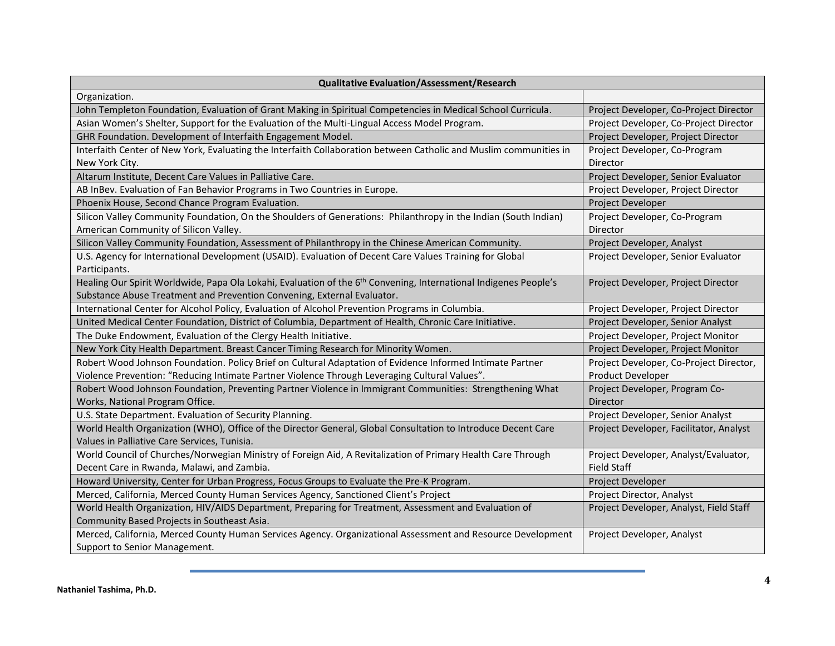| <b>Qualitative Evaluation/Assessment/Research</b>                                                                 |                                         |
|-------------------------------------------------------------------------------------------------------------------|-----------------------------------------|
| Organization.                                                                                                     |                                         |
| John Templeton Foundation, Evaluation of Grant Making in Spiritual Competencies in Medical School Curricula.      | Project Developer, Co-Project Director  |
| Asian Women's Shelter, Support for the Evaluation of the Multi-Lingual Access Model Program.                      | Project Developer, Co-Project Director  |
| GHR Foundation. Development of Interfaith Engagement Model.                                                       | Project Developer, Project Director     |
| Interfaith Center of New York, Evaluating the Interfaith Collaboration between Catholic and Muslim communities in | Project Developer, Co-Program           |
| New York City.                                                                                                    | Director                                |
| Altarum Institute, Decent Care Values in Palliative Care.                                                         | Project Developer, Senior Evaluator     |
| AB InBev. Evaluation of Fan Behavior Programs in Two Countries in Europe.                                         | Project Developer, Project Director     |
| Phoenix House, Second Chance Program Evaluation.                                                                  | Project Developer                       |
| Silicon Valley Community Foundation, On the Shoulders of Generations: Philanthropy in the Indian (South Indian)   | Project Developer, Co-Program           |
| American Community of Silicon Valley.                                                                             | Director                                |
| Silicon Valley Community Foundation, Assessment of Philanthropy in the Chinese American Community.                | Project Developer, Analyst              |
| U.S. Agency for International Development (USAID). Evaluation of Decent Care Values Training for Global           | Project Developer, Senior Evaluator     |
| Participants.                                                                                                     |                                         |
| Healing Our Spirit Worldwide, Papa Ola Lokahi, Evaluation of the 6th Convening, International Indigenes People's  | Project Developer, Project Director     |
| Substance Abuse Treatment and Prevention Convening, External Evaluator.                                           |                                         |
| International Center for Alcohol Policy, Evaluation of Alcohol Prevention Programs in Columbia.                   | Project Developer, Project Director     |
| United Medical Center Foundation, District of Columbia, Department of Health, Chronic Care Initiative.            | Project Developer, Senior Analyst       |
| The Duke Endowment, Evaluation of the Clergy Health Initiative.                                                   | Project Developer, Project Monitor      |
| New York City Health Department. Breast Cancer Timing Research for Minority Women.                                | Project Developer, Project Monitor      |
| Robert Wood Johnson Foundation. Policy Brief on Cultural Adaptation of Evidence Informed Intimate Partner         | Project Developer, Co-Project Director, |
| Violence Prevention: "Reducing Intimate Partner Violence Through Leveraging Cultural Values".                     | Product Developer                       |
| Robert Wood Johnson Foundation, Preventing Partner Violence in Immigrant Communities: Strengthening What          | Project Developer, Program Co-          |
| Works, National Program Office.                                                                                   | Director                                |
| U.S. State Department. Evaluation of Security Planning.                                                           | Project Developer, Senior Analyst       |
| World Health Organization (WHO), Office of the Director General, Global Consultation to Introduce Decent Care     | Project Developer, Facilitator, Analyst |
| Values in Palliative Care Services, Tunisia.                                                                      |                                         |
| World Council of Churches/Norwegian Ministry of Foreign Aid, A Revitalization of Primary Health Care Through      | Project Developer, Analyst/Evaluator,   |
| Decent Care in Rwanda, Malawi, and Zambia.                                                                        | <b>Field Staff</b>                      |
| Howard University, Center for Urban Progress, Focus Groups to Evaluate the Pre-K Program.                         | Project Developer                       |
| Merced, California, Merced County Human Services Agency, Sanctioned Client's Project                              | Project Director, Analyst               |
| World Health Organization, HIV/AIDS Department, Preparing for Treatment, Assessment and Evaluation of             | Project Developer, Analyst, Field Staff |
| Community Based Projects in Southeast Asia.                                                                       |                                         |
| Merced, California, Merced County Human Services Agency. Organizational Assessment and Resource Development       | Project Developer, Analyst              |
| Support to Senior Management.                                                                                     |                                         |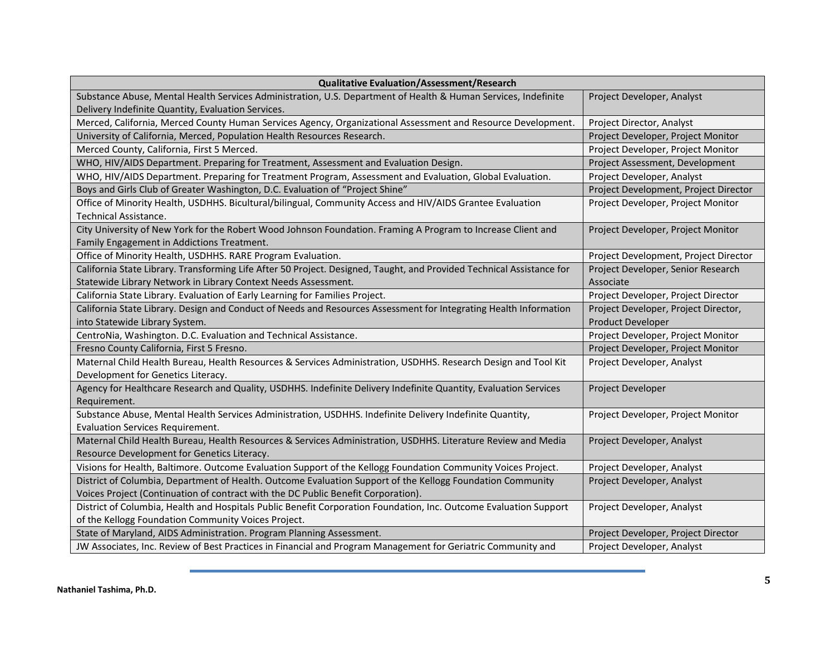| <b>Qualitative Evaluation/Assessment/Research</b>                                                                                                                    |                                       |
|----------------------------------------------------------------------------------------------------------------------------------------------------------------------|---------------------------------------|
| Substance Abuse, Mental Health Services Administration, U.S. Department of Health & Human Services, Indefinite<br>Delivery Indefinite Quantity, Evaluation Services. | Project Developer, Analyst            |
| Merced, California, Merced County Human Services Agency, Organizational Assessment and Resource Development.                                                         | Project Director, Analyst             |
| University of California, Merced, Population Health Resources Research.                                                                                              | Project Developer, Project Monitor    |
| Merced County, California, First 5 Merced.                                                                                                                           | Project Developer, Project Monitor    |
| WHO, HIV/AIDS Department. Preparing for Treatment, Assessment and Evaluation Design.                                                                                 | Project Assessment, Development       |
| WHO, HIV/AIDS Department. Preparing for Treatment Program, Assessment and Evaluation, Global Evaluation.                                                             | Project Developer, Analyst            |
| Boys and Girls Club of Greater Washington, D.C. Evaluation of "Project Shine"                                                                                        | Project Development, Project Director |
| Office of Minority Health, USDHHS. Bicultural/bilingual, Community Access and HIV/AIDS Grantee Evaluation<br><b>Technical Assistance.</b>                            | Project Developer, Project Monitor    |
| City University of New York for the Robert Wood Johnson Foundation. Framing A Program to Increase Client and<br>Family Engagement in Addictions Treatment.           | Project Developer, Project Monitor    |
| Office of Minority Health, USDHHS. RARE Program Evaluation.                                                                                                          | Project Development, Project Director |
| California State Library. Transforming Life After 50 Project. Designed, Taught, and Provided Technical Assistance for                                                | Project Developer, Senior Research    |
| Statewide Library Network in Library Context Needs Assessment.                                                                                                       | Associate                             |
| California State Library. Evaluation of Early Learning for Families Project.                                                                                         | Project Developer, Project Director   |
| California State Library. Design and Conduct of Needs and Resources Assessment for Integrating Health Information                                                    | Project Developer, Project Director,  |
| into Statewide Library System.                                                                                                                                       | <b>Product Developer</b>              |
| CentroNia, Washington. D.C. Evaluation and Technical Assistance.                                                                                                     | Project Developer, Project Monitor    |
| Fresno County California, First 5 Fresno.                                                                                                                            | Project Developer, Project Monitor    |
| Maternal Child Health Bureau, Health Resources & Services Administration, USDHHS. Research Design and Tool Kit                                                       | Project Developer, Analyst            |
| Development for Genetics Literacy.                                                                                                                                   |                                       |
| Agency for Healthcare Research and Quality, USDHHS. Indefinite Delivery Indefinite Quantity, Evaluation Services                                                     | Project Developer                     |
| Requirement.                                                                                                                                                         |                                       |
| Substance Abuse, Mental Health Services Administration, USDHHS. Indefinite Delivery Indefinite Quantity,<br><b>Evaluation Services Requirement.</b>                  | Project Developer, Project Monitor    |
| Maternal Child Health Bureau, Health Resources & Services Administration, USDHHS. Literature Review and Media                                                        | Project Developer, Analyst            |
| Resource Development for Genetics Literacy.                                                                                                                          |                                       |
| Visions for Health, Baltimore. Outcome Evaluation Support of the Kellogg Foundation Community Voices Project.                                                        | Project Developer, Analyst            |
| District of Columbia, Department of Health. Outcome Evaluation Support of the Kellogg Foundation Community                                                           | Project Developer, Analyst            |
| Voices Project (Continuation of contract with the DC Public Benefit Corporation).                                                                                    |                                       |
| District of Columbia, Health and Hospitals Public Benefit Corporation Foundation, Inc. Outcome Evaluation Support                                                    | Project Developer, Analyst            |
| of the Kellogg Foundation Community Voices Project.                                                                                                                  |                                       |
| State of Maryland, AIDS Administration. Program Planning Assessment.                                                                                                 | Project Developer, Project Director   |
| JW Associates, Inc. Review of Best Practices in Financial and Program Management for Geriatric Community and                                                         | Project Developer, Analyst            |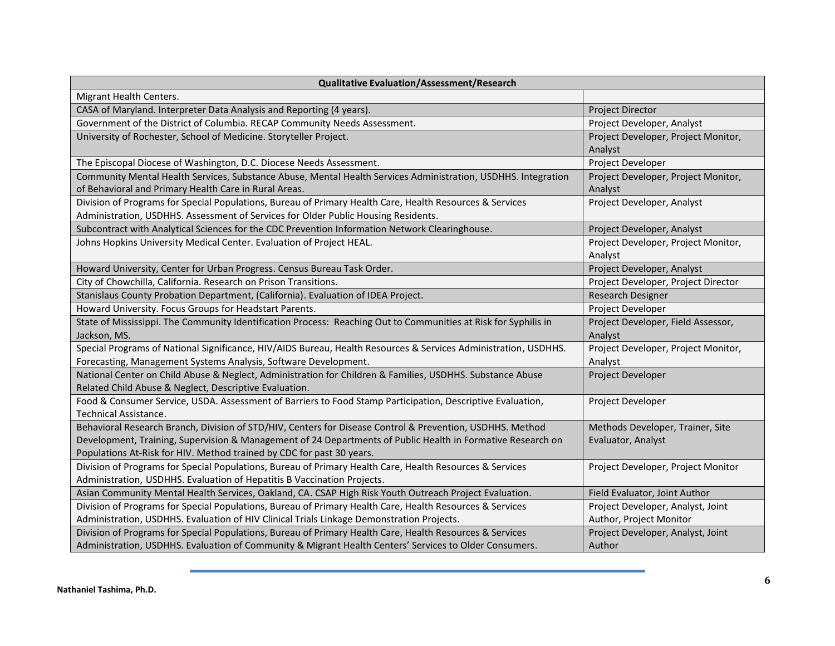| <b>Qualitative Evaluation/Assessment/Research</b>                                                               |                                                |
|-----------------------------------------------------------------------------------------------------------------|------------------------------------------------|
| Migrant Health Centers.                                                                                         |                                                |
| CASA of Maryland. Interpreter Data Analysis and Reporting (4 years).                                            | Project Director                               |
| Government of the District of Columbia. RECAP Community Needs Assessment.                                       | Project Developer, Analyst                     |
| University of Rochester, School of Medicine. Storyteller Project.                                               | Project Developer, Project Monitor,<br>Analyst |
| The Episcopal Diocese of Washington, D.C. Diocese Needs Assessment.                                             | Project Developer                              |
| Community Mental Health Services, Substance Abuse, Mental Health Services Administration, USDHHS. Integration   | Project Developer, Project Monitor,            |
| of Behavioral and Primary Health Care in Rural Areas.                                                           | Analyst                                        |
| Division of Programs for Special Populations, Bureau of Primary Health Care, Health Resources & Services        | Project Developer, Analyst                     |
| Administration, USDHHS. Assessment of Services for Older Public Housing Residents.                              |                                                |
| Subcontract with Analytical Sciences for the CDC Prevention Information Network Clearinghouse.                  | Project Developer, Analyst                     |
| Johns Hopkins University Medical Center. Evaluation of Project HEAL.                                            | Project Developer, Project Monitor,<br>Analyst |
| Howard University, Center for Urban Progress. Census Bureau Task Order.                                         | Project Developer, Analyst                     |
| City of Chowchilla, California. Research on Prison Transitions.                                                 | Project Developer, Project Director            |
| Stanislaus County Probation Department, (California). Evaluation of IDEA Project.                               | Research Designer                              |
| Howard University. Focus Groups for Headstart Parents.                                                          | Project Developer                              |
| State of Mississippi. The Community Identification Process: Reaching Out to Communities at Risk for Syphilis in | Project Developer, Field Assessor,             |
| Jackson, MS.                                                                                                    | Analyst                                        |
| Special Programs of National Significance, HIV/AIDS Bureau, Health Resources & Services Administration, USDHHS. | Project Developer, Project Monitor,            |
| Forecasting, Management Systems Analysis, Software Development.                                                 | Analyst                                        |
| National Center on Child Abuse & Neglect, Administration for Children & Families, USDHHS. Substance Abuse       | Project Developer                              |
| Related Child Abuse & Neglect, Descriptive Evaluation.                                                          |                                                |
| Food & Consumer Service, USDA. Assessment of Barriers to Food Stamp Participation, Descriptive Evaluation,      | Project Developer                              |
| Technical Assistance.                                                                                           |                                                |
| Behavioral Research Branch, Division of STD/HIV, Centers for Disease Control & Prevention, USDHHS. Method       | Methods Developer, Trainer, Site               |
| Development, Training, Supervision & Management of 24 Departments of Public Health in Formative Research on     | Evaluator, Analyst                             |
| Populations At-Risk for HIV. Method trained by CDC for past 30 years.                                           |                                                |
| Division of Programs for Special Populations, Bureau of Primary Health Care, Health Resources & Services        | Project Developer, Project Monitor             |
| Administration, USDHHS. Evaluation of Hepatitis B Vaccination Projects.                                         |                                                |
| Asian Community Mental Health Services, Oakland, CA. CSAP High Risk Youth Outreach Project Evaluation.          | Field Evaluator, Joint Author                  |
| Division of Programs for Special Populations, Bureau of Primary Health Care, Health Resources & Services        | Project Developer, Analyst, Joint              |
| Administration, USDHHS. Evaluation of HIV Clinical Trials Linkage Demonstration Projects.                       | Author, Project Monitor                        |
| Division of Programs for Special Populations, Bureau of Primary Health Care, Health Resources & Services        | Project Developer, Analyst, Joint              |
| Administration, USDHHS. Evaluation of Community & Migrant Health Centers' Services to Older Consumers.          | Author                                         |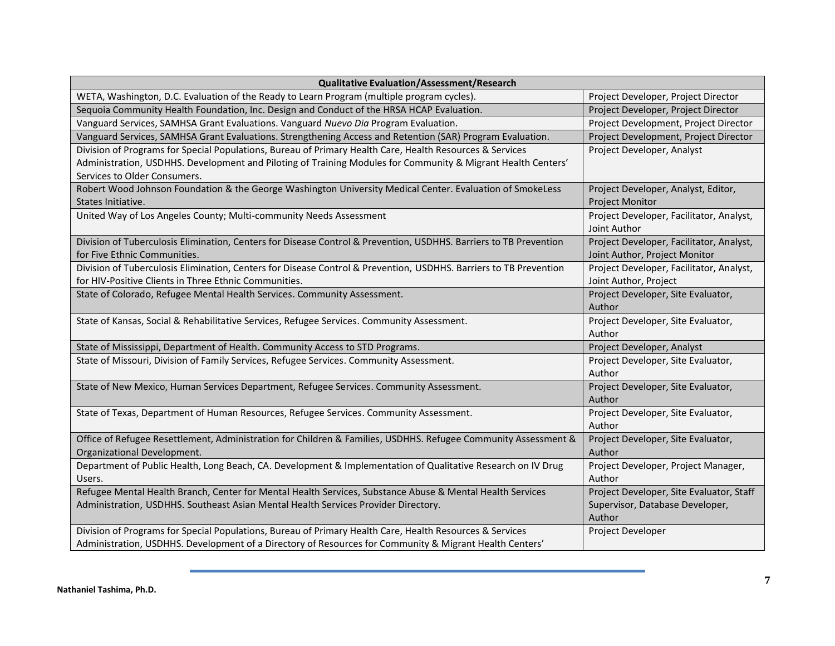| <b>Qualitative Evaluation/Assessment/Research</b>                                                                                                 |                                                             |  |
|---------------------------------------------------------------------------------------------------------------------------------------------------|-------------------------------------------------------------|--|
| WETA, Washington, D.C. Evaluation of the Ready to Learn Program (multiple program cycles).                                                        | Project Developer, Project Director                         |  |
| Sequoia Community Health Foundation, Inc. Design and Conduct of the HRSA HCAP Evaluation.                                                         | Project Developer, Project Director                         |  |
| Vanguard Services, SAMHSA Grant Evaluations. Vanguard Nuevo Dia Program Evaluation.                                                               | Project Development, Project Director                       |  |
| Vanguard Services, SAMHSA Grant Evaluations. Strengthening Access and Retention (SAR) Program Evaluation.                                         | Project Development, Project Director                       |  |
| Division of Programs for Special Populations, Bureau of Primary Health Care, Health Resources & Services                                          | Project Developer, Analyst                                  |  |
| Administration, USDHHS. Development and Piloting of Training Modules for Community & Migrant Health Centers'                                      |                                                             |  |
| Services to Older Consumers.                                                                                                                      |                                                             |  |
| Robert Wood Johnson Foundation & the George Washington University Medical Center. Evaluation of SmokeLess                                         | Project Developer, Analyst, Editor,                         |  |
| States Initiative.                                                                                                                                | <b>Project Monitor</b>                                      |  |
| United Way of Los Angeles County; Multi-community Needs Assessment                                                                                | Project Developer, Facilitator, Analyst,                    |  |
|                                                                                                                                                   | Joint Author                                                |  |
| Division of Tuberculosis Elimination, Centers for Disease Control & Prevention, USDHHS. Barriers to TB Prevention                                 | Project Developer, Facilitator, Analyst,                    |  |
| for Five Ethnic Communities.<br>Division of Tuberculosis Elimination, Centers for Disease Control & Prevention, USDHHS. Barriers to TB Prevention | Joint Author, Project Monitor                               |  |
| for HIV-Positive Clients in Three Ethnic Communities.                                                                                             | Project Developer, Facilitator, Analyst,                    |  |
| State of Colorado, Refugee Mental Health Services. Community Assessment.                                                                          | Joint Author, Project<br>Project Developer, Site Evaluator, |  |
|                                                                                                                                                   | Author                                                      |  |
| State of Kansas, Social & Rehabilitative Services, Refugee Services. Community Assessment.                                                        | Project Developer, Site Evaluator,                          |  |
|                                                                                                                                                   | Author                                                      |  |
| State of Mississippi, Department of Health. Community Access to STD Programs.                                                                     | Project Developer, Analyst                                  |  |
| State of Missouri, Division of Family Services, Refugee Services. Community Assessment.                                                           | Project Developer, Site Evaluator,                          |  |
|                                                                                                                                                   | Author                                                      |  |
| State of New Mexico, Human Services Department, Refugee Services. Community Assessment.                                                           | Project Developer, Site Evaluator,                          |  |
|                                                                                                                                                   | Author                                                      |  |
| State of Texas, Department of Human Resources, Refugee Services. Community Assessment.                                                            | Project Developer, Site Evaluator,                          |  |
|                                                                                                                                                   | Author                                                      |  |
| Office of Refugee Resettlement, Administration for Children & Families, USDHHS. Refugee Community Assessment &                                    | Project Developer, Site Evaluator,                          |  |
| Organizational Development.                                                                                                                       | Author                                                      |  |
| Department of Public Health, Long Beach, CA. Development & Implementation of Qualitative Research on IV Drug                                      | Project Developer, Project Manager,                         |  |
| Users.                                                                                                                                            | Author                                                      |  |
| Refugee Mental Health Branch, Center for Mental Health Services, Substance Abuse & Mental Health Services                                         | Project Developer, Site Evaluator, Staff                    |  |
| Administration, USDHHS. Southeast Asian Mental Health Services Provider Directory.                                                                | Supervisor, Database Developer,                             |  |
|                                                                                                                                                   | Author                                                      |  |
| Division of Programs for Special Populations, Bureau of Primary Health Care, Health Resources & Services                                          | Project Developer                                           |  |
| Administration, USDHHS. Development of a Directory of Resources for Community & Migrant Health Centers'                                           |                                                             |  |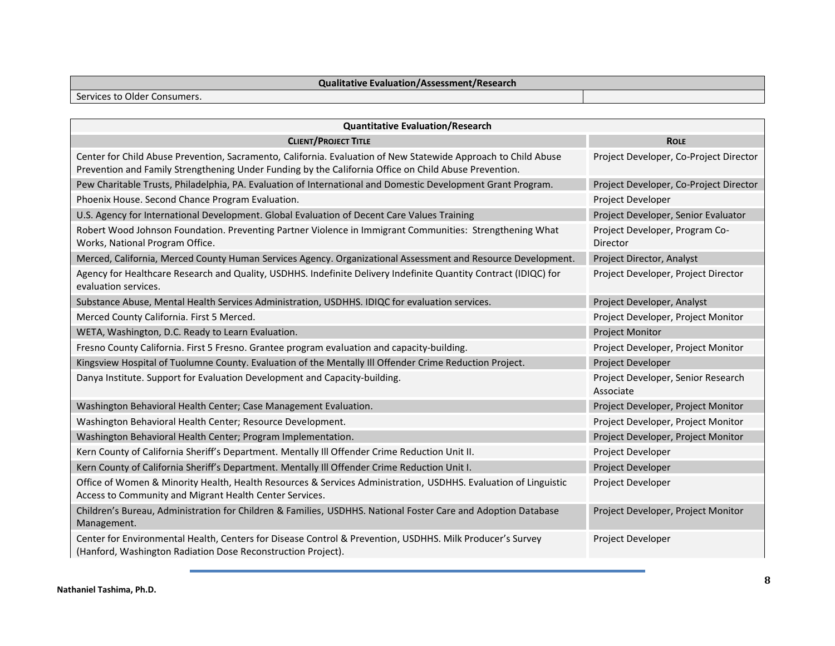## **Qualitative Evaluation/Assessment/Research**

Services to Older Consumers.

| <b>Quantitative Evaluation/Research</b>                                                                                                                                                                                 |                                                 |
|-------------------------------------------------------------------------------------------------------------------------------------------------------------------------------------------------------------------------|-------------------------------------------------|
| <b>CLIENT/PROJECT TITLE</b>                                                                                                                                                                                             | <b>ROLE</b>                                     |
| Center for Child Abuse Prevention, Sacramento, California. Evaluation of New Statewide Approach to Child Abuse<br>Prevention and Family Strengthening Under Funding by the California Office on Child Abuse Prevention. | Project Developer, Co-Project Director          |
| Pew Charitable Trusts, Philadelphia, PA. Evaluation of International and Domestic Development Grant Program.                                                                                                            | Project Developer, Co-Project Director          |
| Phoenix House. Second Chance Program Evaluation.                                                                                                                                                                        | Project Developer                               |
| U.S. Agency for International Development. Global Evaluation of Decent Care Values Training                                                                                                                             | Project Developer, Senior Evaluator             |
| Robert Wood Johnson Foundation. Preventing Partner Violence in Immigrant Communities: Strengthening What<br>Works, National Program Office.                                                                             | Project Developer, Program Co-<br>Director      |
| Merced, California, Merced County Human Services Agency. Organizational Assessment and Resource Development.                                                                                                            | Project Director, Analyst                       |
| Agency for Healthcare Research and Quality, USDHHS. Indefinite Delivery Indefinite Quantity Contract (IDIQC) for<br>evaluation services.                                                                                | Project Developer, Project Director             |
| Substance Abuse, Mental Health Services Administration, USDHHS. IDIQC for evaluation services.                                                                                                                          | Project Developer, Analyst                      |
| Merced County California. First 5 Merced.                                                                                                                                                                               | Project Developer, Project Monitor              |
| WETA, Washington, D.C. Ready to Learn Evaluation.                                                                                                                                                                       | <b>Project Monitor</b>                          |
| Fresno County California. First 5 Fresno. Grantee program evaluation and capacity-building.                                                                                                                             | Project Developer, Project Monitor              |
| Kingsview Hospital of Tuolumne County. Evaluation of the Mentally III Offender Crime Reduction Project.                                                                                                                 | Project Developer                               |
| Danya Institute. Support for Evaluation Development and Capacity-building.                                                                                                                                              | Project Developer, Senior Research<br>Associate |
| Washington Behavioral Health Center; Case Management Evaluation.                                                                                                                                                        | Project Developer, Project Monitor              |
| Washington Behavioral Health Center; Resource Development.                                                                                                                                                              | Project Developer, Project Monitor              |
| Washington Behavioral Health Center; Program Implementation.                                                                                                                                                            | Project Developer, Project Monitor              |
| Kern County of California Sheriff's Department. Mentally III Offender Crime Reduction Unit II.                                                                                                                          | Project Developer                               |
| Kern County of California Sheriff's Department. Mentally III Offender Crime Reduction Unit I.                                                                                                                           | Project Developer                               |
| Office of Women & Minority Health, Health Resources & Services Administration, USDHHS. Evaluation of Linguistic<br>Access to Community and Migrant Health Center Services.                                              | Project Developer                               |
| Children's Bureau, Administration for Children & Families, USDHHS. National Foster Care and Adoption Database<br>Management.                                                                                            | Project Developer, Project Monitor              |
| Center for Environmental Health, Centers for Disease Control & Prevention, USDHHS. Milk Producer's Survey<br>(Hanford, Washington Radiation Dose Reconstruction Project).                                               | Project Developer                               |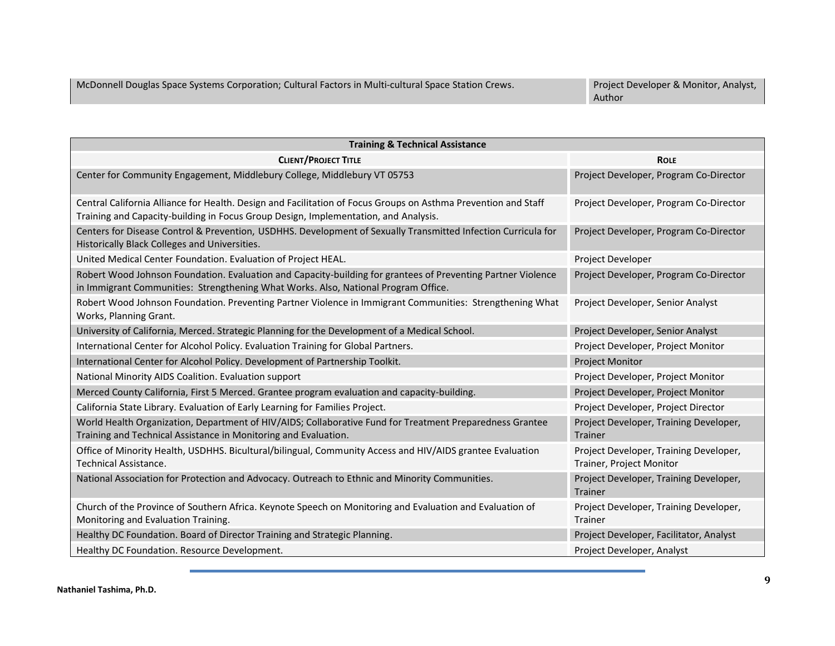| <b>Training &amp; Technical Assistance</b>                                                                                                                                                            |                                                                    |
|-------------------------------------------------------------------------------------------------------------------------------------------------------------------------------------------------------|--------------------------------------------------------------------|
| <b>CLIENT/PROJECT TITLE</b>                                                                                                                                                                           | <b>ROLE</b>                                                        |
| Center for Community Engagement, Middlebury College, Middlebury VT 05753                                                                                                                              | Project Developer, Program Co-Director                             |
| Central California Alliance for Health. Design and Facilitation of Focus Groups on Asthma Prevention and Staff<br>Training and Capacity-building in Focus Group Design, Implementation, and Analysis. | Project Developer, Program Co-Director                             |
| Centers for Disease Control & Prevention, USDHHS. Development of Sexually Transmitted Infection Curricula for<br>Historically Black Colleges and Universities.                                        | Project Developer, Program Co-Director                             |
| United Medical Center Foundation. Evaluation of Project HEAL.                                                                                                                                         | Project Developer                                                  |
| Robert Wood Johnson Foundation. Evaluation and Capacity-building for grantees of Preventing Partner Violence<br>in Immigrant Communities: Strengthening What Works. Also, National Program Office.    | Project Developer, Program Co-Director                             |
| Robert Wood Johnson Foundation. Preventing Partner Violence in Immigrant Communities: Strengthening What<br>Works, Planning Grant.                                                                    | Project Developer, Senior Analyst                                  |
| University of California, Merced. Strategic Planning for the Development of a Medical School.                                                                                                         | Project Developer, Senior Analyst                                  |
| International Center for Alcohol Policy. Evaluation Training for Global Partners.                                                                                                                     | Project Developer, Project Monitor                                 |
| International Center for Alcohol Policy. Development of Partnership Toolkit.                                                                                                                          | <b>Project Monitor</b>                                             |
| National Minority AIDS Coalition. Evaluation support                                                                                                                                                  | Project Developer, Project Monitor                                 |
| Merced County California, First 5 Merced. Grantee program evaluation and capacity-building.                                                                                                           | Project Developer, Project Monitor                                 |
| California State Library. Evaluation of Early Learning for Families Project.                                                                                                                          | Project Developer, Project Director                                |
| World Health Organization, Department of HIV/AIDS; Collaborative Fund for Treatment Preparedness Grantee<br>Training and Technical Assistance in Monitoring and Evaluation.                           | Project Developer, Training Developer,<br><b>Trainer</b>           |
| Office of Minority Health, USDHHS. Bicultural/bilingual, Community Access and HIV/AIDS grantee Evaluation<br><b>Technical Assistance.</b>                                                             | Project Developer, Training Developer,<br>Trainer, Project Monitor |
| National Association for Protection and Advocacy. Outreach to Ethnic and Minority Communities.                                                                                                        | Project Developer, Training Developer,<br>Trainer                  |
| Church of the Province of Southern Africa. Keynote Speech on Monitoring and Evaluation and Evaluation of<br>Monitoring and Evaluation Training.                                                       | Project Developer, Training Developer,<br>Trainer                  |
| Healthy DC Foundation. Board of Director Training and Strategic Planning.                                                                                                                             | Project Developer, Facilitator, Analyst                            |
| Healthy DC Foundation. Resource Development.                                                                                                                                                          | Project Developer, Analyst                                         |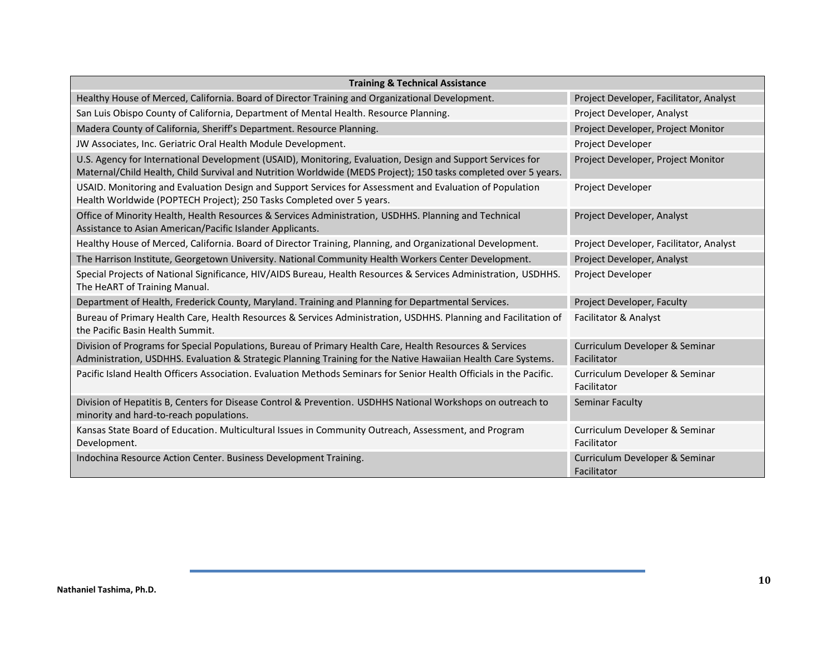| <b>Training &amp; Technical Assistance</b>                                                                                                                                                                                    |                                               |
|-------------------------------------------------------------------------------------------------------------------------------------------------------------------------------------------------------------------------------|-----------------------------------------------|
| Healthy House of Merced, California. Board of Director Training and Organizational Development.                                                                                                                               | Project Developer, Facilitator, Analyst       |
| San Luis Obispo County of California, Department of Mental Health. Resource Planning.                                                                                                                                         | Project Developer, Analyst                    |
| Madera County of California, Sheriff's Department. Resource Planning.                                                                                                                                                         | Project Developer, Project Monitor            |
| JW Associates, Inc. Geriatric Oral Health Module Development.                                                                                                                                                                 | Project Developer                             |
| U.S. Agency for International Development (USAID), Monitoring, Evaluation, Design and Support Services for<br>Maternal/Child Health, Child Survival and Nutrition Worldwide (MEDS Project); 150 tasks completed over 5 years. | Project Developer, Project Monitor            |
| USAID. Monitoring and Evaluation Design and Support Services for Assessment and Evaluation of Population<br>Health Worldwide (POPTECH Project); 250 Tasks Completed over 5 years.                                             | Project Developer                             |
| Office of Minority Health, Health Resources & Services Administration, USDHHS. Planning and Technical<br>Assistance to Asian American/Pacific Islander Applicants.                                                            | Project Developer, Analyst                    |
| Healthy House of Merced, California. Board of Director Training, Planning, and Organizational Development.                                                                                                                    | Project Developer, Facilitator, Analyst       |
| The Harrison Institute, Georgetown University. National Community Health Workers Center Development.                                                                                                                          | Project Developer, Analyst                    |
| Special Projects of National Significance, HIV/AIDS Bureau, Health Resources & Services Administration, USDHHS.<br>The HeART of Training Manual.                                                                              | Project Developer                             |
| Department of Health, Frederick County, Maryland. Training and Planning for Departmental Services.                                                                                                                            | Project Developer, Faculty                    |
| Bureau of Primary Health Care, Health Resources & Services Administration, USDHHS. Planning and Facilitation of<br>the Pacific Basin Health Summit.                                                                           | Facilitator & Analyst                         |
| Division of Programs for Special Populations, Bureau of Primary Health Care, Health Resources & Services<br>Administration, USDHHS. Evaluation & Strategic Planning Training for the Native Hawaiian Health Care Systems.     | Curriculum Developer & Seminar<br>Facilitator |
| Pacific Island Health Officers Association, Evaluation Methods Seminars for Senior Health Officials in the Pacific.                                                                                                           | Curriculum Developer & Seminar<br>Facilitator |
| Division of Hepatitis B, Centers for Disease Control & Prevention. USDHHS National Workshops on outreach to<br>minority and hard-to-reach populations.                                                                        | <b>Seminar Faculty</b>                        |
| Kansas State Board of Education. Multicultural Issues in Community Outreach, Assessment, and Program<br>Development.                                                                                                          | Curriculum Developer & Seminar<br>Facilitator |
| Indochina Resource Action Center. Business Development Training.                                                                                                                                                              | Curriculum Developer & Seminar<br>Facilitator |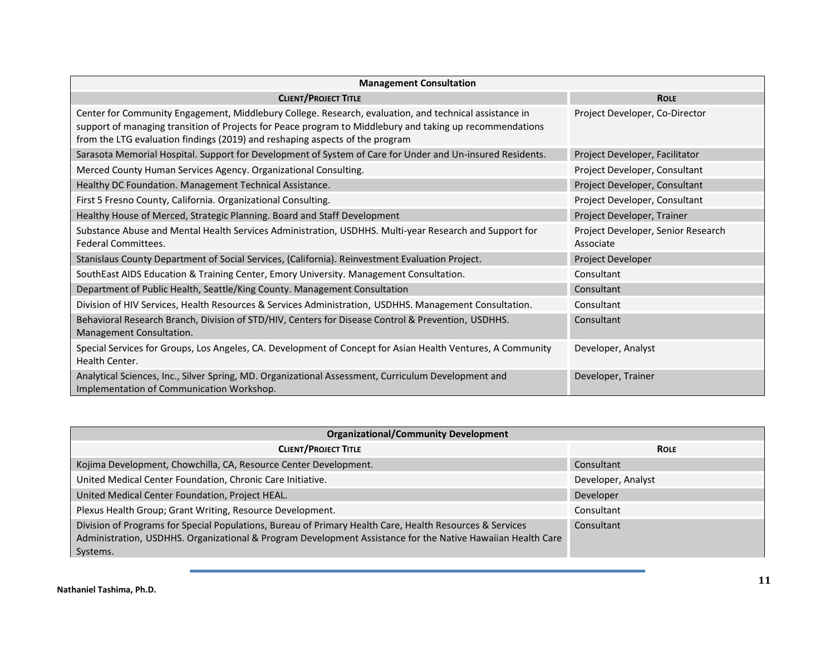| <b>Management Consultation</b>                                                                                                                                                                                                                                                                     |                                                 |
|----------------------------------------------------------------------------------------------------------------------------------------------------------------------------------------------------------------------------------------------------------------------------------------------------|-------------------------------------------------|
| <b>CLIENT/PROJECT TITLE</b>                                                                                                                                                                                                                                                                        | <b>ROLE</b>                                     |
| Center for Community Engagement, Middlebury College. Research, evaluation, and technical assistance in<br>support of managing transition of Projects for Peace program to Middlebury and taking up recommendations<br>from the LTG evaluation findings (2019) and reshaping aspects of the program | Project Developer, Co-Director                  |
| Sarasota Memorial Hospital. Support for Development of System of Care for Under and Un-insured Residents.                                                                                                                                                                                          | Project Developer, Facilitator                  |
| Merced County Human Services Agency. Organizational Consulting.                                                                                                                                                                                                                                    | Project Developer, Consultant                   |
| Healthy DC Foundation. Management Technical Assistance.                                                                                                                                                                                                                                            | Project Developer, Consultant                   |
| First 5 Fresno County, California. Organizational Consulting.                                                                                                                                                                                                                                      | Project Developer, Consultant                   |
| Healthy House of Merced, Strategic Planning. Board and Staff Development                                                                                                                                                                                                                           | Project Developer, Trainer                      |
| Substance Abuse and Mental Health Services Administration, USDHHS. Multi-year Research and Support for<br><b>Federal Committees.</b>                                                                                                                                                               | Project Developer, Senior Research<br>Associate |
| Stanislaus County Department of Social Services, (California). Reinvestment Evaluation Project.                                                                                                                                                                                                    | Project Developer                               |
| SouthEast AIDS Education & Training Center, Emory University. Management Consultation.                                                                                                                                                                                                             | Consultant                                      |
| Department of Public Health, Seattle/King County. Management Consultation                                                                                                                                                                                                                          | Consultant                                      |
| Division of HIV Services, Health Resources & Services Administration, USDHHS. Management Consultation.                                                                                                                                                                                             | Consultant                                      |
| Behavioral Research Branch, Division of STD/HIV, Centers for Disease Control & Prevention, USDHHS.<br>Management Consultation.                                                                                                                                                                     | Consultant                                      |
| Special Services for Groups, Los Angeles, CA. Development of Concept for Asian Health Ventures, A Community<br>Health Center.                                                                                                                                                                      | Developer, Analyst                              |
| Analytical Sciences, Inc., Silver Spring, MD. Organizational Assessment, Curriculum Development and<br>Implementation of Communication Workshop.                                                                                                                                                   | Developer, Trainer                              |

| <b>Organizational/Community Development</b>                                                                                                                                                                                         |                    |
|-------------------------------------------------------------------------------------------------------------------------------------------------------------------------------------------------------------------------------------|--------------------|
| <b>CLIENT/PROJECT TITLE</b>                                                                                                                                                                                                         | <b>ROLE</b>        |
| Kojima Development, Chowchilla, CA, Resource Center Development.                                                                                                                                                                    | Consultant         |
| United Medical Center Foundation, Chronic Care Initiative.                                                                                                                                                                          | Developer, Analyst |
| United Medical Center Foundation, Project HEAL.                                                                                                                                                                                     | Developer          |
| Plexus Health Group; Grant Writing, Resource Development.                                                                                                                                                                           | Consultant         |
| Division of Programs for Special Populations, Bureau of Primary Health Care, Health Resources & Services<br>Administration, USDHHS. Organizational & Program Development Assistance for the Native Hawaiian Health Care<br>Systems. | Consultant         |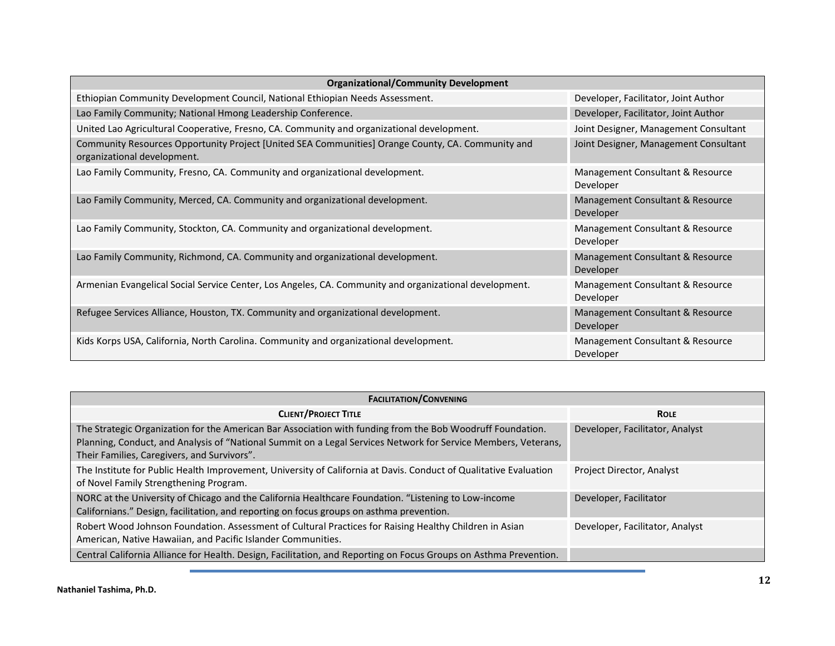| <b>Organizational/Community Development</b>                                                                                      |                                               |
|----------------------------------------------------------------------------------------------------------------------------------|-----------------------------------------------|
| Ethiopian Community Development Council, National Ethiopian Needs Assessment.                                                    | Developer, Facilitator, Joint Author          |
| Lao Family Community; National Hmong Leadership Conference.                                                                      | Developer, Facilitator, Joint Author          |
| United Lao Agricultural Cooperative, Fresno, CA. Community and organizational development.                                       | Joint Designer, Management Consultant         |
| Community Resources Opportunity Project [United SEA Communities] Orange County, CA. Community and<br>organizational development. | Joint Designer, Management Consultant         |
| Lao Family Community, Fresno, CA. Community and organizational development.                                                      | Management Consultant & Resource<br>Developer |
| Lao Family Community, Merced, CA. Community and organizational development.                                                      | Management Consultant & Resource<br>Developer |
| Lao Family Community, Stockton, CA. Community and organizational development.                                                    | Management Consultant & Resource<br>Developer |
| Lao Family Community, Richmond, CA. Community and organizational development.                                                    | Management Consultant & Resource<br>Developer |
| Armenian Evangelical Social Service Center, Los Angeles, CA. Community and organizational development.                           | Management Consultant & Resource<br>Developer |
| Refugee Services Alliance, Houston, TX. Community and organizational development.                                                | Management Consultant & Resource<br>Developer |
| Kids Korps USA, California, North Carolina. Community and organizational development.                                            | Management Consultant & Resource<br>Developer |

| <b>FACILITATION/CONVENING</b>                                                                                                                                                                                                                                               |                                 |
|-----------------------------------------------------------------------------------------------------------------------------------------------------------------------------------------------------------------------------------------------------------------------------|---------------------------------|
| <b>CLIENT/PROJECT TITLE</b>                                                                                                                                                                                                                                                 | <b>ROLE</b>                     |
| The Strategic Organization for the American Bar Association with funding from the Bob Woodruff Foundation.<br>Planning, Conduct, and Analysis of "National Summit on a Legal Services Network for Service Members, Veterans,<br>Their Families, Caregivers, and Survivors". | Developer, Facilitator, Analyst |
| The Institute for Public Health Improvement, University of California at Davis. Conduct of Qualitative Evaluation<br>of Novel Family Strengthening Program.                                                                                                                 | Project Director, Analyst       |
| NORC at the University of Chicago and the California Healthcare Foundation. "Listening to Low-income<br>Californians." Design, facilitation, and reporting on focus groups on asthma prevention.                                                                            | Developer, Facilitator          |
| Robert Wood Johnson Foundation. Assessment of Cultural Practices for Raising Healthy Children in Asian<br>American, Native Hawaiian, and Pacific Islander Communities.                                                                                                      | Developer, Facilitator, Analyst |
| Central California Alliance for Health. Design, Facilitation, and Reporting on Focus Groups on Asthma Prevention.                                                                                                                                                           |                                 |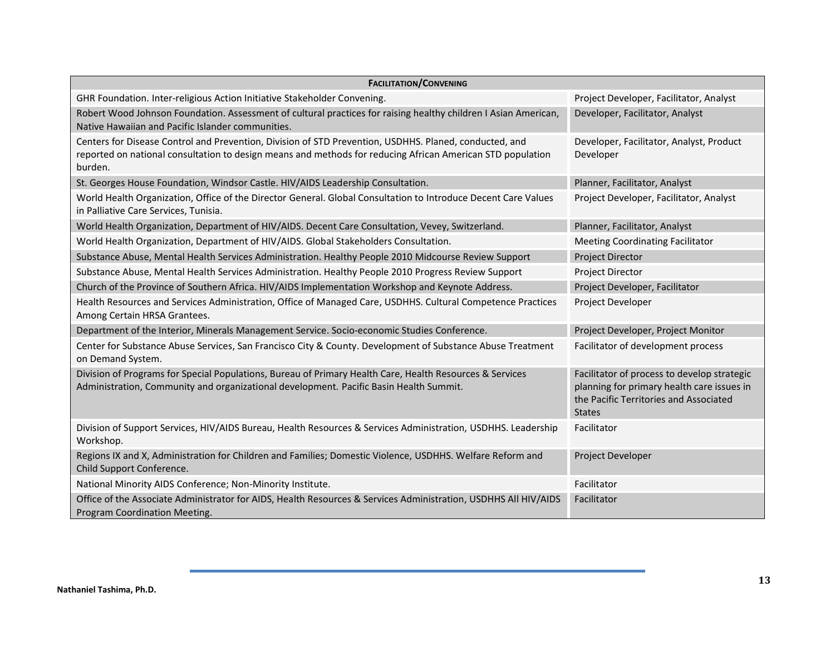| <b>FACILITATION/CONVENING</b>                                                                                                                                                                                                   |                                                                                                                                                      |  |  |
|---------------------------------------------------------------------------------------------------------------------------------------------------------------------------------------------------------------------------------|------------------------------------------------------------------------------------------------------------------------------------------------------|--|--|
| GHR Foundation. Inter-religious Action Initiative Stakeholder Convening.                                                                                                                                                        | Project Developer, Facilitator, Analyst                                                                                                              |  |  |
| Robert Wood Johnson Foundation. Assessment of cultural practices for raising healthy children I Asian American,<br>Native Hawaiian and Pacific Islander communities.                                                            | Developer, Facilitator, Analyst                                                                                                                      |  |  |
| Centers for Disease Control and Prevention, Division of STD Prevention, USDHHS. Planed, conducted, and<br>reported on national consultation to design means and methods for reducing African American STD population<br>burden. | Developer, Facilitator, Analyst, Product<br>Developer                                                                                                |  |  |
| St. Georges House Foundation, Windsor Castle. HIV/AIDS Leadership Consultation.                                                                                                                                                 | Planner, Facilitator, Analyst                                                                                                                        |  |  |
| World Health Organization, Office of the Director General. Global Consultation to Introduce Decent Care Values<br>in Palliative Care Services, Tunisia.                                                                         | Project Developer, Facilitator, Analyst                                                                                                              |  |  |
| World Health Organization, Department of HIV/AIDS. Decent Care Consultation, Vevey, Switzerland.                                                                                                                                | Planner, Facilitator, Analyst                                                                                                                        |  |  |
| World Health Organization, Department of HIV/AIDS. Global Stakeholders Consultation.                                                                                                                                            | <b>Meeting Coordinating Facilitator</b>                                                                                                              |  |  |
| Substance Abuse, Mental Health Services Administration. Healthy People 2010 Midcourse Review Support                                                                                                                            | <b>Project Director</b>                                                                                                                              |  |  |
| Substance Abuse, Mental Health Services Administration. Healthy People 2010 Progress Review Support                                                                                                                             | <b>Project Director</b>                                                                                                                              |  |  |
| Church of the Province of Southern Africa. HIV/AIDS Implementation Workshop and Keynote Address.                                                                                                                                | Project Developer, Facilitator                                                                                                                       |  |  |
| Health Resources and Services Administration, Office of Managed Care, USDHHS. Cultural Competence Practices<br>Among Certain HRSA Grantees.                                                                                     | Project Developer                                                                                                                                    |  |  |
| Department of the Interior, Minerals Management Service. Socio-economic Studies Conference.                                                                                                                                     | Project Developer, Project Monitor                                                                                                                   |  |  |
| Center for Substance Abuse Services, San Francisco City & County. Development of Substance Abuse Treatment<br>on Demand System.                                                                                                 | Facilitator of development process                                                                                                                   |  |  |
| Division of Programs for Special Populations, Bureau of Primary Health Care, Health Resources & Services<br>Administration, Community and organizational development. Pacific Basin Health Summit.                              | Facilitator of process to develop strategic<br>planning for primary health care issues in<br>the Pacific Territories and Associated<br><b>States</b> |  |  |
| Division of Support Services, HIV/AIDS Bureau, Health Resources & Services Administration, USDHHS. Leadership<br>Workshop.                                                                                                      | Facilitator                                                                                                                                          |  |  |
| Regions IX and X, Administration for Children and Families; Domestic Violence, USDHHS. Welfare Reform and<br>Child Support Conference.                                                                                          | Project Developer                                                                                                                                    |  |  |
| National Minority AIDS Conference; Non-Minority Institute.                                                                                                                                                                      | Facilitator                                                                                                                                          |  |  |
| Office of the Associate Administrator for AIDS, Health Resources & Services Administration, USDHHS All HIV/AIDS<br>Program Coordination Meeting.                                                                                | Facilitator                                                                                                                                          |  |  |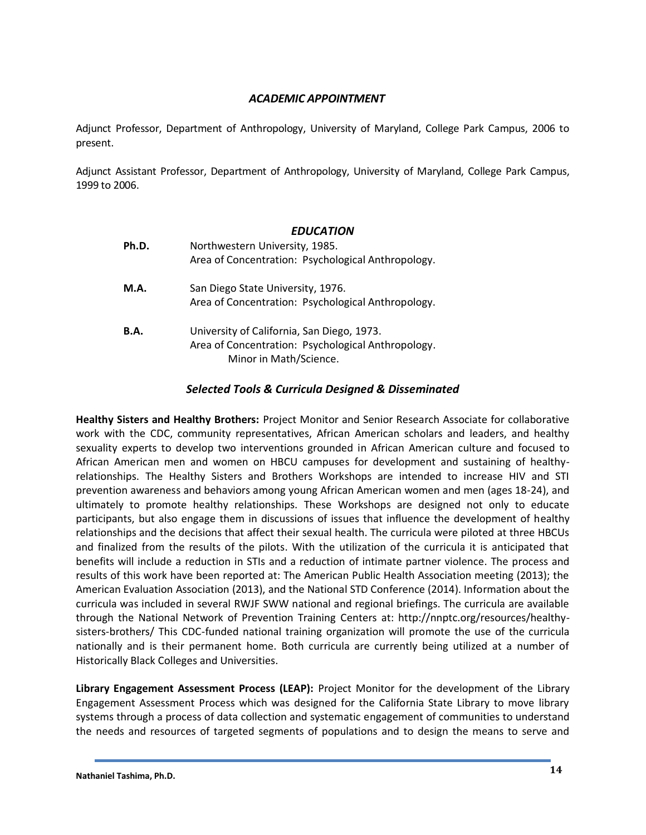## *ACADEMIC APPOINTMENT*

Adjunct Professor, Department of Anthropology, University of Maryland, College Park Campus, 2006 to present.

Adjunct Assistant Professor, Department of Anthropology, University of Maryland, College Park Campus, 1999 to 2006.

### *EDUCATION*

| Ph.D. | Northwestern University, 1985.<br>Area of Concentration: Psychological Anthropology.                                       |
|-------|----------------------------------------------------------------------------------------------------------------------------|
| M.A.  | San Diego State University, 1976.<br>Area of Concentration: Psychological Anthropology.                                    |
| B.A.  | University of California, San Diego, 1973.<br>Area of Concentration: Psychological Anthropology.<br>Minor in Math/Science. |

# *Selected Tools & Curricula Designed & Disseminated*

**Healthy Sisters and Healthy Brothers:** Project Monitor and Senior Research Associate for collaborative work with the CDC, community representatives, African American scholars and leaders, and healthy sexuality experts to develop two interventions grounded in African American culture and focused to African American men and women on HBCU campuses for development and sustaining of healthyrelationships. The Healthy Sisters and Brothers Workshops are intended to increase HIV and STI prevention awareness and behaviors among young African American women and men (ages 18-24), and ultimately to promote healthy relationships. These Workshops are designed not only to educate participants, but also engage them in discussions of issues that influence the development of healthy relationships and the decisions that affect their sexual health. The curricula were piloted at three HBCUs and finalized from the results of the pilots. With the utilization of the curricula it is anticipated that benefits will include a reduction in STIs and a reduction of intimate partner violence. The process and results of this work have been reported at: The American Public Health Association meeting (2013); the American Evaluation Association (2013), and the National STD Conference (2014). Information about the curricula was included in several RWJF SWW national and regional briefings. The curricula are available through the National Network of Prevention Training Centers at: http://nnptc.org/resources/healthysisters-brothers/ This CDC-funded national training organization will promote the use of the curricula nationally and is their permanent home. Both curricula are currently being utilized at a number of Historically Black Colleges and Universities.

**Library Engagement Assessment Process (LEAP):** Project Monitor for the development of the Library Engagement Assessment Process which was designed for the California State Library to move library systems through a process of data collection and systematic engagement of communities to understand the needs and resources of targeted segments of populations and to design the means to serve and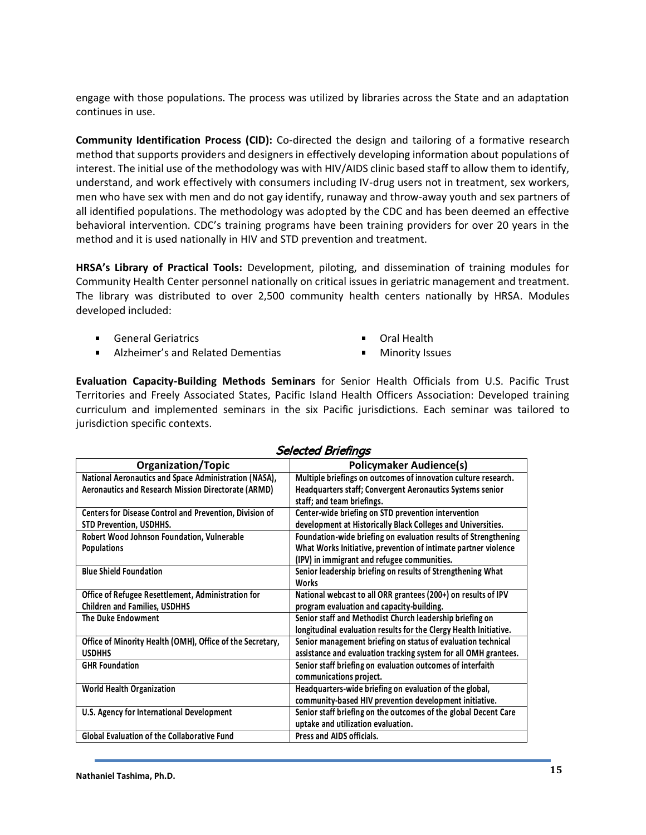engage with those populations. The process was utilized by libraries across the State and an adaptation continues in use.

**Community Identification Process (CID):** Co-directed the design and tailoring of a formative research method that supports providers and designers in effectively developing information about populations of interest. The initial use of the methodology was with HIV/AIDS clinic based staff to allow them to identify, understand, and work effectively with consumers including IV-drug users not in treatment, sex workers, men who have sex with men and do not gay identify, runaway and throw-away youth and sex partners of all identified populations. The methodology was adopted by the CDC and has been deemed an effective behavioral intervention. CDC's training programs have been training providers for over 20 years in the method and it is used nationally in HIV and STD prevention and treatment.

**HRSA's Library of Practical Tools:** Development, piloting, and dissemination of training modules for Community Health Center personnel nationally on critical issues in geriatric management and treatment. The library was distributed to over 2,500 community health centers nationally by HRSA. Modules developed included:

- **General Geriatrics**
- $\blacksquare$ Alzheimer's and Related Dementias
- Oral Health
- $\blacksquare$ Minority Issues

**Evaluation Capacity-Building Methods Seminars** for Senior Health Officials from U.S. Pacific Trust Territories and Freely Associated States, Pacific Island Health Officers Association: Developed training curriculum and implemented seminars in the six Pacific jurisdictions. Each seminar was tailored to jurisdiction specific contexts.

| <b>Organization/Topic</b>                                      | <b>Policymaker Audience(s)</b>                                                                 |
|----------------------------------------------------------------|------------------------------------------------------------------------------------------------|
| National Aeronautics and Space Administration (NASA),          | Multiple briefings on outcomes of innovation culture research.                                 |
| <b>Aeronautics and Research Mission Directorate (ARMD)</b>     | <b>Headquarters staff; Convergent Aeronautics Systems senior</b><br>staff; and team briefings. |
|                                                                |                                                                                                |
| <b>Centers for Disease Control and Prevention, Division of</b> | Center-wide briefing on STD prevention intervention                                            |
| STD Prevention, USDHHS.                                        | development at Historically Black Colleges and Universities.                                   |
| Robert Wood Johnson Foundation, Vulnerable                     | Foundation-wide briefing on evaluation results of Strengthening                                |
| <b>Populations</b>                                             | What Works Initiative, prevention of intimate partner violence                                 |
|                                                                | (IPV) in immigrant and refugee communities.                                                    |
| <b>Blue Shield Foundation</b>                                  | Senior leadership briefing on results of Strengthening What                                    |
|                                                                | Works                                                                                          |
| Office of Refugee Resettlement, Administration for             | National webcast to all ORR grantees (200+) on results of IPV                                  |
| <b>Children and Families, USDHHS</b>                           | program evaluation and capacity-building.                                                      |
| <b>The Duke Endowment</b>                                      | Senior staff and Methodist Church leadership briefing on                                       |
|                                                                | longitudinal evaluation results for the Clergy Health Initiative.                              |
| Office of Minority Health (OMH), Office of the Secretary,      | Senior management briefing on status of evaluation technical                                   |
| <b>USDHHS</b>                                                  | assistance and evaluation tracking system for all OMH grantees.                                |
| <b>GHR Foundation</b>                                          | Senior staff briefing on evaluation outcomes of interfaith                                     |
|                                                                | communications project.                                                                        |
| <b>World Health Organization</b>                               | Headquarters-wide briefing on evaluation of the global,                                        |
|                                                                | community-based HIV prevention development initiative.                                         |
| U.S. Agency for International Development                      | Senior staff briefing on the outcomes of the global Decent Care                                |
|                                                                | uptake and utilization evaluation.                                                             |
| <b>Global Evaluation of the Collaborative Fund</b>             | Press and AIDS officials.                                                                      |

# Selected Briefings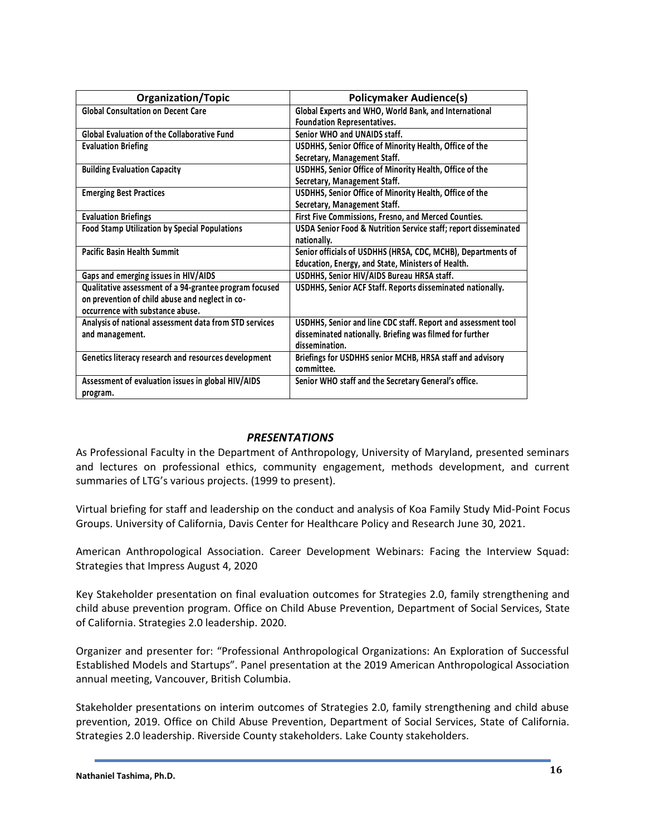| <b>Organization/Topic</b>                              | <b>Policymaker Audience(s)</b>                                  |
|--------------------------------------------------------|-----------------------------------------------------------------|
| <b>Global Consultation on Decent Care</b>              | Global Experts and WHO, World Bank, and International           |
|                                                        | <b>Foundation Representatives.</b>                              |
| <b>Global Evaluation of the Collaborative Fund</b>     | Senior WHO and UNAIDS staff.                                    |
| <b>Evaluation Briefing</b>                             | USDHHS, Senior Office of Minority Health, Office of the         |
|                                                        | Secretary, Management Staff.                                    |
| <b>Building Evaluation Capacity</b>                    | USDHHS, Senior Office of Minority Health, Office of the         |
|                                                        | Secretary, Management Staff.                                    |
| <b>Emerging Best Practices</b>                         | USDHHS, Senior Office of Minority Health, Office of the         |
|                                                        | Secretary, Management Staff.                                    |
| <b>Evaluation Briefings</b>                            | First Five Commissions, Fresno, and Merced Counties.            |
| <b>Food Stamp Utilization by Special Populations</b>   | USDA Senior Food & Nutrition Service staff; report disseminated |
|                                                        | nationally.                                                     |
| <b>Pacific Basin Health Summit</b>                     | Senior officials of USDHHS (HRSA, CDC, MCHB), Departments of    |
|                                                        | Education, Energy, and State, Ministers of Health.              |
| Gaps and emerging issues in HIV/AIDS                   | USDHHS, Senior HIV/AIDS Bureau HRSA staff.                      |
| Qualitative assessment of a 94-grantee program focused | USDHHS, Senior ACF Staff. Reports disseminated nationally.      |
| on prevention of child abuse and neglect in co-        |                                                                 |
| occurrence with substance abuse.                       |                                                                 |
| Analysis of national assessment data from STD services | USDHHS, Senior and line CDC staff. Report and assessment tool   |
| and management.                                        | disseminated nationally. Briefing was filmed for further        |
|                                                        | dissemination.                                                  |
| Genetics literacy research and resources development   | Briefings for USDHHS senior MCHB, HRSA staff and advisory       |
|                                                        | committee.                                                      |
| Assessment of evaluation issues in global HIV/AIDS     | Senior WHO staff and the Secretary General's office.            |
| program.                                               |                                                                 |

## *PRESENTATIONS*

As Professional Faculty in the Department of Anthropology, University of Maryland, presented seminars and lectures on professional ethics, community engagement, methods development, and current summaries of LTG's various projects. (1999 to present).

Virtual briefing for staff and leadership on the conduct and analysis of Koa Family Study Mid-Point Focus Groups. University of California, Davis Center for Healthcare Policy and Research June 30, 2021.

American Anthropological Association. Career Development Webinars: Facing the Interview Squad: Strategies that Impress August 4, 2020

Key Stakeholder presentation on final evaluation outcomes for Strategies 2.0, family strengthening and child abuse prevention program. Office on Child Abuse Prevention, Department of Social Services, State of California. Strategies 2.0 leadership. 2020.

Organizer and presenter for: "Professional Anthropological Organizations: An Exploration of Successful Established Models and Startups". Panel presentation at the 2019 American Anthropological Association annual meeting, Vancouver, British Columbia.

Stakeholder presentations on interim outcomes of Strategies 2.0, family strengthening and child abuse prevention, 2019. Office on Child Abuse Prevention, Department of Social Services, State of California. Strategies 2.0 leadership. Riverside County stakeholders. Lake County stakeholders.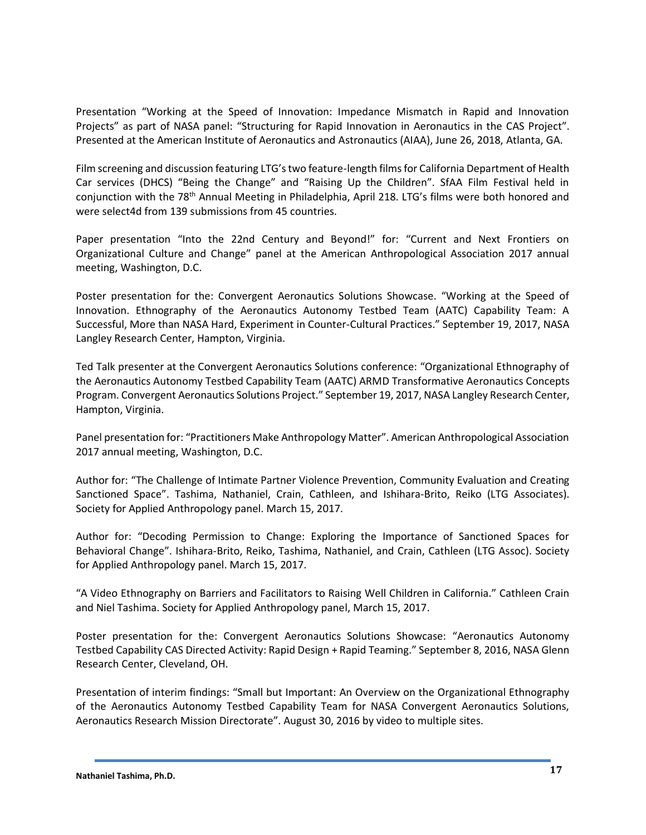Presentation "Working at the Speed of Innovation: Impedance Mismatch in Rapid and Innovation Projects" as part of NASA panel: "Structuring for Rapid Innovation in Aeronautics in the CAS Project". Presented at the American Institute of Aeronautics and Astronautics (AIAA), June 26, 2018, Atlanta, GA.

Film screening and discussion featuring LTG's two feature-length films for California Department of Health Car services (DHCS) "Being the Change" and "Raising Up the Children". SfAA Film Festival held in conjunction with the 78<sup>th</sup> Annual Meeting in Philadelphia, April 218. LTG's films were both honored and were select4d from 139 submissions from 45 countries.

Paper presentation "Into the 22nd Century and Beyond!" for: "Current and Next Frontiers on Organizational Culture and Change" panel at the American Anthropological Association 2017 annual meeting, Washington, D.C.

Poster presentation for the: Convergent Aeronautics Solutions Showcase. "Working at the Speed of Innovation. Ethnography of the Aeronautics Autonomy Testbed Team (AATC) Capability Team: A Successful, More than NASA Hard, Experiment in Counter-Cultural Practices." September 19, 2017, NASA Langley Research Center, Hampton, Virginia.

Ted Talk presenter at the Convergent Aeronautics Solutions conference: "Organizational Ethnography of the Aeronautics Autonomy Testbed Capability Team (AATC) ARMD Transformative Aeronautics Concepts Program. Convergent Aeronautics Solutions Project." September 19, 2017, NASA Langley Research Center, Hampton, Virginia.

Panel presentation for: "Practitioners Make Anthropology Matter". American Anthropological Association 2017 annual meeting, Washington, D.C.

Author for: "The Challenge of Intimate Partner Violence Prevention, Community Evaluation and Creating Sanctioned Space". Tashima, Nathaniel, Crain, Cathleen, and Ishihara-Brito, Reiko (LTG Associates). Society for Applied Anthropology panel. March 15, 2017.

Author for: "Decoding Permission to Change: Exploring the Importance of Sanctioned Spaces for Behavioral Change". Ishihara-Brito, Reiko, Tashima, Nathaniel, and Crain, Cathleen (LTG Assoc). Society for Applied Anthropology panel. March 15, 2017.

"A Video Ethnography on Barriers and Facilitators to Raising Well Children in California." Cathleen Crain and Niel Tashima. Society for Applied Anthropology panel, March 15, 2017.

Poster presentation for the: Convergent Aeronautics Solutions Showcase: "Aeronautics Autonomy Testbed Capability CAS Directed Activity: Rapid Design + Rapid Teaming." September 8, 2016, NASA Glenn Research Center, Cleveland, OH.

Presentation of interim findings: "Small but Important: An Overview on the Organizational Ethnography of the Aeronautics Autonomy Testbed Capability Team for NASA Convergent Aeronautics Solutions, Aeronautics Research Mission Directorate". August 30, 2016 by video to multiple sites.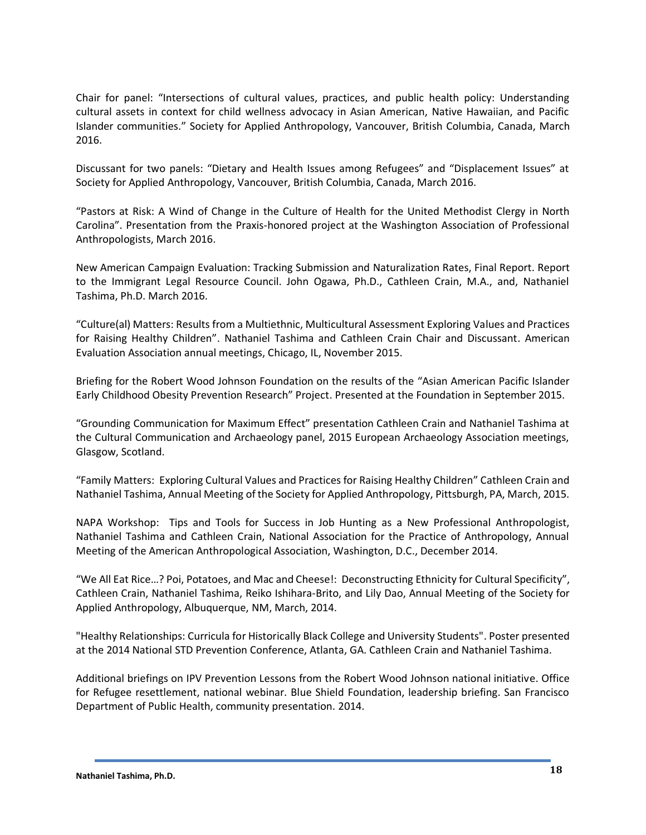Chair for panel: "Intersections of cultural values, practices, and public health policy: Understanding cultural assets in context for child wellness advocacy in Asian American, Native Hawaiian, and Pacific Islander communities." Society for Applied Anthropology, Vancouver, British Columbia, Canada, March 2016.

Discussant for two panels: "Dietary and Health Issues among Refugees" and "Displacement Issues" at Society for Applied Anthropology, Vancouver, British Columbia, Canada, March 2016.

"Pastors at Risk: A Wind of Change in the Culture of Health for the United Methodist Clergy in North Carolina". Presentation from the Praxis-honored project at the Washington Association of Professional Anthropologists, March 2016.

New American Campaign Evaluation: Tracking Submission and Naturalization Rates, Final Report. Report to the Immigrant Legal Resource Council. John Ogawa, Ph.D., Cathleen Crain, M.A., and, Nathaniel Tashima, Ph.D. March 2016.

"Culture(al) Matters: Results from a Multiethnic, Multicultural Assessment Exploring Values and Practices for Raising Healthy Children". Nathaniel Tashima and Cathleen Crain Chair and Discussant. American Evaluation Association annual meetings, Chicago, IL, November 2015.

Briefing for the Robert Wood Johnson Foundation on the results of the "Asian American Pacific Islander Early Childhood Obesity Prevention Research" Project. Presented at the Foundation in September 2015.

"Grounding Communication for Maximum Effect" presentation Cathleen Crain and Nathaniel Tashima at the Cultural Communication and Archaeology panel, 2015 European Archaeology Association meetings, Glasgow, Scotland.

"Family Matters: Exploring Cultural Values and Practices for Raising Healthy Children" Cathleen Crain and Nathaniel Tashima, Annual Meeting of the Society for Applied Anthropology, Pittsburgh, PA, March, 2015.

NAPA Workshop: Tips and Tools for Success in Job Hunting as a New Professional Anthropologist, Nathaniel Tashima and Cathleen Crain, National Association for the Practice of Anthropology, Annual Meeting of the American Anthropological Association, Washington, D.C., December 2014.

"We All Eat Rice…? Poi, Potatoes, and Mac and Cheese!: Deconstructing Ethnicity for Cultural Specificity", Cathleen Crain, Nathaniel Tashima, Reiko Ishihara-Brito, and Lily Dao, Annual Meeting of the Society for Applied Anthropology, Albuquerque, NM, March, 2014.

"Healthy Relationships: Curricula for Historically Black College and University Students". Poster presented at the 2014 National STD Prevention Conference, Atlanta, GA. Cathleen Crain and Nathaniel Tashima.

Additional briefings on IPV Prevention Lessons from the Robert Wood Johnson national initiative. Office for Refugee resettlement, national webinar. Blue Shield Foundation, leadership briefing. San Francisco Department of Public Health, community presentation. 2014.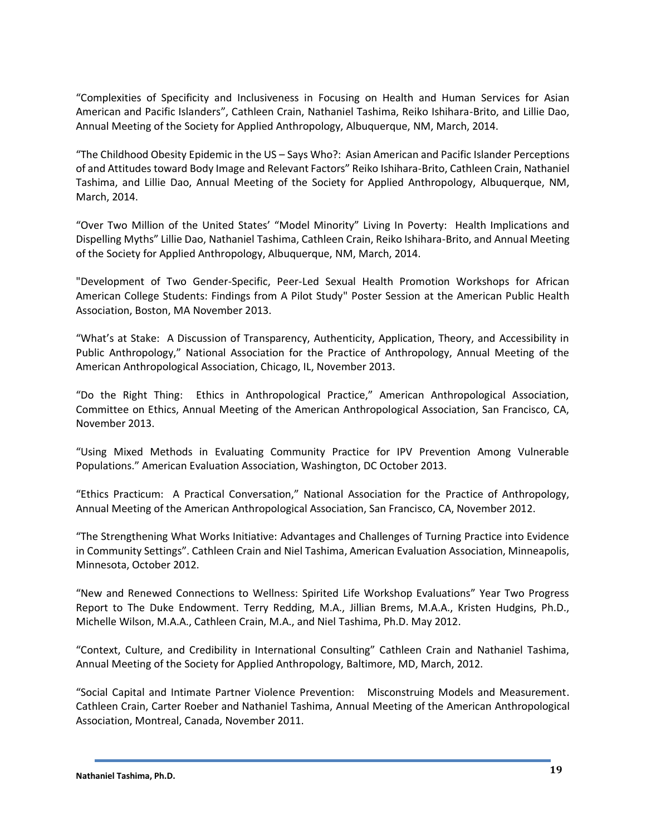"Complexities of Specificity and Inclusiveness in Focusing on Health and Human Services for Asian American and Pacific Islanders", Cathleen Crain, Nathaniel Tashima, Reiko Ishihara-Brito, and Lillie Dao, Annual Meeting of the Society for Applied Anthropology, Albuquerque, NM, March, 2014.

"The Childhood Obesity Epidemic in the US – Says Who?: Asian American and Pacific Islander Perceptions of and Attitudes toward Body Image and Relevant Factors" Reiko Ishihara-Brito, Cathleen Crain, Nathaniel Tashima, and Lillie Dao, Annual Meeting of the Society for Applied Anthropology, Albuquerque, NM, March, 2014.

"Over Two Million of the United States' "Model Minority" Living In Poverty: Health Implications and Dispelling Myths" Lillie Dao, Nathaniel Tashima, Cathleen Crain, Reiko Ishihara-Brito, and Annual Meeting of the Society for Applied Anthropology, Albuquerque, NM, March, 2014.

"Development of Two Gender-Specific, Peer-Led Sexual Health Promotion Workshops for African American College Students: Findings from A Pilot Study" Poster Session at the American Public Health Association, Boston, MA November 2013.

"What's at Stake: A Discussion of Transparency, Authenticity, Application, Theory, and Accessibility in Public Anthropology," National Association for the Practice of Anthropology, Annual Meeting of the American Anthropological Association, Chicago, IL, November 2013.

"Do the Right Thing: Ethics in Anthropological Practice," American Anthropological Association, Committee on Ethics, Annual Meeting of the American Anthropological Association, San Francisco, CA, November 2013.

"Using Mixed Methods in Evaluating Community Practice for IPV Prevention Among Vulnerable Populations." American Evaluation Association, Washington, DC October 2013.

"Ethics Practicum: A Practical Conversation," National Association for the Practice of Anthropology, Annual Meeting of the American Anthropological Association, San Francisco, CA, November 2012.

"The Strengthening What Works Initiative: Advantages and Challenges of Turning Practice into Evidence in Community Settings". Cathleen Crain and Niel Tashima, American Evaluation Association, Minneapolis, Minnesota, October 2012.

"New and Renewed Connections to Wellness: Spirited Life Workshop Evaluations" Year Two Progress Report to The Duke Endowment. Terry Redding, M.A., Jillian Brems, M.A.A., Kristen Hudgins, Ph.D., Michelle Wilson, M.A.A., Cathleen Crain, M.A., and Niel Tashima, Ph.D. May 2012.

"Context, Culture, and Credibility in International Consulting" Cathleen Crain and Nathaniel Tashima, Annual Meeting of the Society for Applied Anthropology, Baltimore, MD, March, 2012.

"Social Capital and Intimate Partner Violence Prevention: Misconstruing Models and Measurement. Cathleen Crain, Carter Roeber and Nathaniel Tashima, Annual Meeting of the American Anthropological Association, Montreal, Canada, November 2011.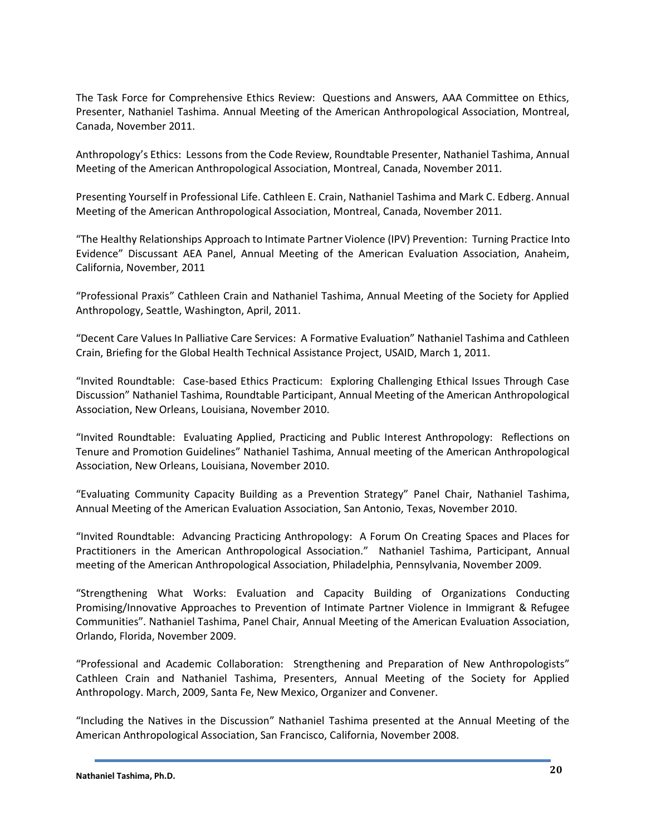The Task Force for Comprehensive Ethics Review: Questions and Answers, AAA Committee on Ethics, Presenter, Nathaniel Tashima. Annual Meeting of the American Anthropological Association, Montreal, Canada, November 2011.

Anthropology's Ethics: Lessons from the Code Review, Roundtable Presenter, Nathaniel Tashima, Annual Meeting of the American Anthropological Association, Montreal, Canada, November 2011.

Presenting Yourself in Professional Life. Cathleen E. Crain, Nathaniel Tashima and Mark C. Edberg. Annual Meeting of the American Anthropological Association, Montreal, Canada, November 2011.

"The Healthy Relationships Approach to Intimate Partner Violence (IPV) Prevention: Turning Practice Into Evidence" Discussant AEA Panel, Annual Meeting of the American Evaluation Association, Anaheim, California, November, 2011

"Professional Praxis" Cathleen Crain and Nathaniel Tashima, Annual Meeting of the Society for Applied Anthropology, Seattle, Washington, April, 2011.

"Decent Care Values In Palliative Care Services: A Formative Evaluation" Nathaniel Tashima and Cathleen Crain, Briefing for the Global Health Technical Assistance Project, USAID, March 1, 2011.

"Invited Roundtable: Case-based Ethics Practicum: Exploring Challenging Ethical Issues Through Case Discussion" Nathaniel Tashima, Roundtable Participant, Annual Meeting of the American Anthropological Association, New Orleans, Louisiana, November 2010.

"Invited Roundtable: Evaluating Applied, Practicing and Public Interest Anthropology: Reflections on Tenure and Promotion Guidelines" Nathaniel Tashima, Annual meeting of the American Anthropological Association, New Orleans, Louisiana, November 2010.

"Evaluating Community Capacity Building as a Prevention Strategy" Panel Chair, Nathaniel Tashima, Annual Meeting of the American Evaluation Association, San Antonio, Texas, November 2010.

"Invited Roundtable: Advancing Practicing Anthropology: A Forum On Creating Spaces and Places for Practitioners in the American Anthropological Association." Nathaniel Tashima, Participant, Annual meeting of the American Anthropological Association, Philadelphia, Pennsylvania, November 2009.

"Strengthening What Works: Evaluation and Capacity Building of Organizations Conducting Promising/Innovative Approaches to Prevention of Intimate Partner Violence in Immigrant & Refugee Communities". Nathaniel Tashima, Panel Chair, Annual Meeting of the American Evaluation Association, Orlando, Florida, November 2009.

"Professional and Academic Collaboration: Strengthening and Preparation of New Anthropologists" Cathleen Crain and Nathaniel Tashima, Presenters, Annual Meeting of the Society for Applied Anthropology. March, 2009, Santa Fe, New Mexico, Organizer and Convener.

"Including the Natives in the Discussion" Nathaniel Tashima presented at the Annual Meeting of the American Anthropological Association, San Francisco, California, November 2008.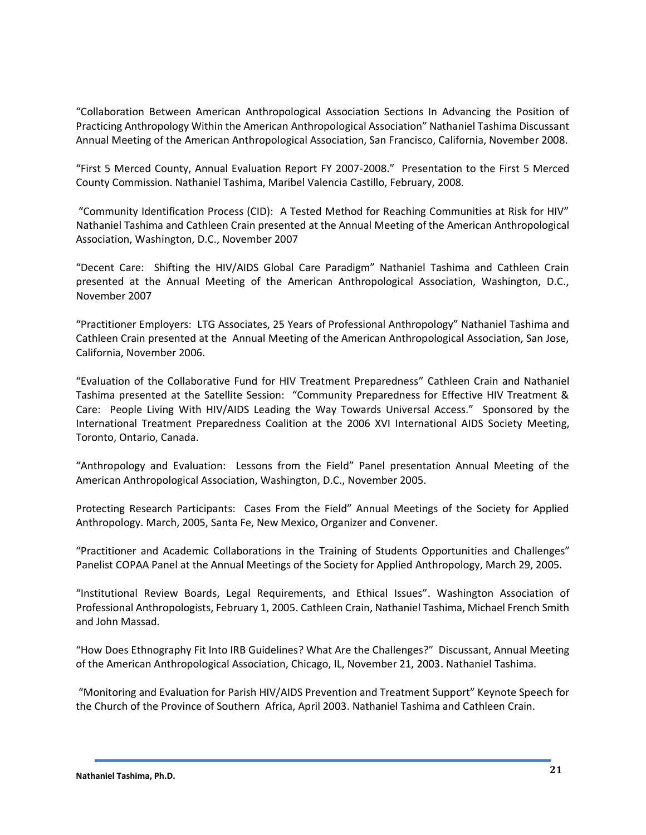"Collaboration Between American Anthropological Association Sections In Advancing the Position of Practicing Anthropology Within the American Anthropological Association" Nathaniel Tashima Discussant Annual Meeting of the American Anthropological Association, San Francisco, California, November 2008.

"First 5 Merced County, Annual Evaluation Report FY 2007-2008." Presentation to the First 5 Merced County Commission. Nathaniel Tashima, Maribel Valencia Castillo, February, 2008.

"Community Identification Process (CID): A Tested Method for Reaching Communities at Risk for HIV" Nathaniel Tashima and Cathleen Crain presented at the Annual Meeting of the American Anthropological Association, Washington, D.C., November 2007

"Decent Care: Shifting the HIV/AIDS Global Care Paradigm" Nathaniel Tashima and Cathleen Crain presented at the Annual Meeting of the American Anthropological Association, Washington, D.C., November 2007

"Practitioner Employers: LTG Associates, 25 Years of Professional Anthropology" Nathaniel Tashima and Cathleen Crain presented at the Annual Meeting of the American Anthropological Association, San Jose, California, November 2006.

"Evaluation of the Collaborative Fund for HIV Treatment Preparedness" Cathleen Crain and Nathaniel Tashima presented at the Satellite Session: "Community Preparedness for Effective HIV Treatment & Care: People Living With HIV/AIDS Leading the Way Towards Universal Access." Sponsored by the International Treatment Preparedness Coalition at the 2006 XVI International AIDS Society Meeting, Toronto, Ontario, Canada.

"Anthropology and Evaluation: Lessons from the Field" Panel presentation Annual Meeting of the American Anthropological Association, Washington, D.C., November 2005.

Protecting Research Participants: Cases From the Field" Annual Meetings of the Society for Applied Anthropology. March, 2005, Santa Fe, New Mexico, Organizer and Convener.

"Practitioner and Academic Collaborations in the Training of Students Opportunities and Challenges" Panelist COPAA Panel at the Annual Meetings of the Society for Applied Anthropology, March 29, 2005.

"Institutional Review Boards, Legal Requirements, and Ethical Issues". Washington Association of Professional Anthropologists, February 1, 2005. Cathleen Crain, Nathaniel Tashima, Michael French Smith and John Massad.

"How Does Ethnography Fit Into IRB Guidelines? What Are the Challenges?" Discussant, Annual Meeting of the American Anthropological Association, Chicago, IL, November 21, 2003. Nathaniel Tashima.

"Monitoring and Evaluation for Parish HIV/AIDS Prevention and Treatment Support" Keynote Speech for the Church of the Province of Southern Africa, April 2003. Nathaniel Tashima and Cathleen Crain.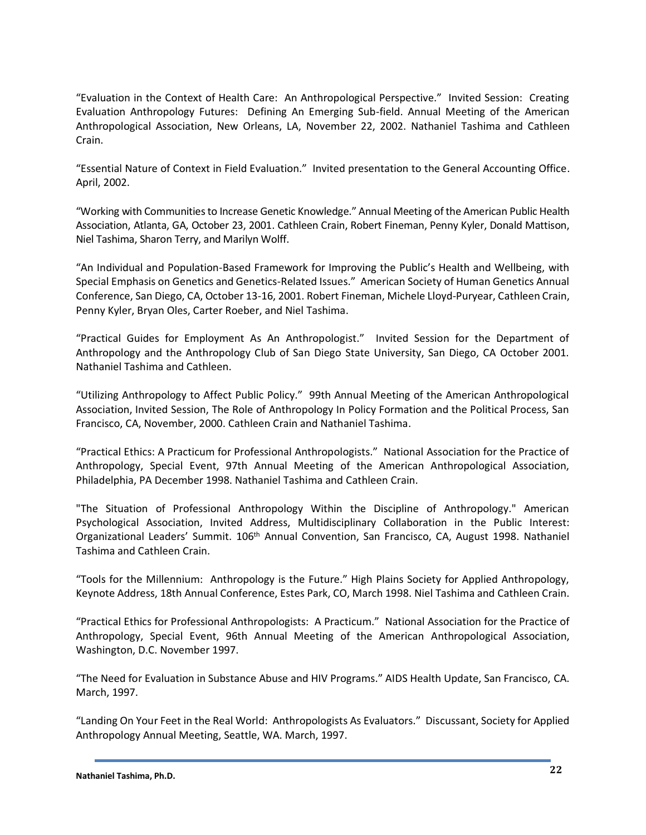"Evaluation in the Context of Health Care: An Anthropological Perspective." Invited Session: Creating Evaluation Anthropology Futures: Defining An Emerging Sub-field. Annual Meeting of the American Anthropological Association, New Orleans, LA, November 22, 2002. Nathaniel Tashima and Cathleen Crain.

"Essential Nature of Context in Field Evaluation." Invited presentation to the General Accounting Office. April, 2002.

"Working with Communities to Increase Genetic Knowledge." Annual Meeting of the American Public Health Association, Atlanta, GA, October 23, 2001. Cathleen Crain, Robert Fineman, Penny Kyler, Donald Mattison, Niel Tashima, Sharon Terry, and Marilyn Wolff.

"An Individual and Population-Based Framework for Improving the Public's Health and Wellbeing, with Special Emphasis on Genetics and Genetics-Related Issues." American Society of Human Genetics Annual Conference, San Diego, CA, October 13-16, 2001. Robert Fineman, Michele Lloyd-Puryear, Cathleen Crain, Penny Kyler, Bryan Oles, Carter Roeber, and Niel Tashima.

"Practical Guides for Employment As An Anthropologist." Invited Session for the Department of Anthropology and the Anthropology Club of San Diego State University, San Diego, CA October 2001. Nathaniel Tashima and Cathleen.

"Utilizing Anthropology to Affect Public Policy." 99th Annual Meeting of the American Anthropological Association, Invited Session, The Role of Anthropology In Policy Formation and the Political Process, San Francisco, CA, November, 2000. Cathleen Crain and Nathaniel Tashima.

"Practical Ethics: A Practicum for Professional Anthropologists." National Association for the Practice of Anthropology, Special Event, 97th Annual Meeting of the American Anthropological Association, Philadelphia, PA December 1998. Nathaniel Tashima and Cathleen Crain.

"The Situation of Professional Anthropology Within the Discipline of Anthropology." American Psychological Association, Invited Address, Multidisciplinary Collaboration in the Public Interest: Organizational Leaders' Summit. 106th Annual Convention, San Francisco, CA, August 1998. Nathaniel Tashima and Cathleen Crain.

"Tools for the Millennium: Anthropology is the Future." High Plains Society for Applied Anthropology, Keynote Address, 18th Annual Conference, Estes Park, CO, March 1998. Niel Tashima and Cathleen Crain.

"Practical Ethics for Professional Anthropologists: A Practicum." National Association for the Practice of Anthropology, Special Event, 96th Annual Meeting of the American Anthropological Association, Washington, D.C. November 1997.

"The Need for Evaluation in Substance Abuse and HIV Programs." AIDS Health Update, San Francisco, CA. March, 1997.

"Landing On Your Feet in the Real World: Anthropologists As Evaluators." Discussant, Society for Applied Anthropology Annual Meeting, Seattle, WA. March, 1997.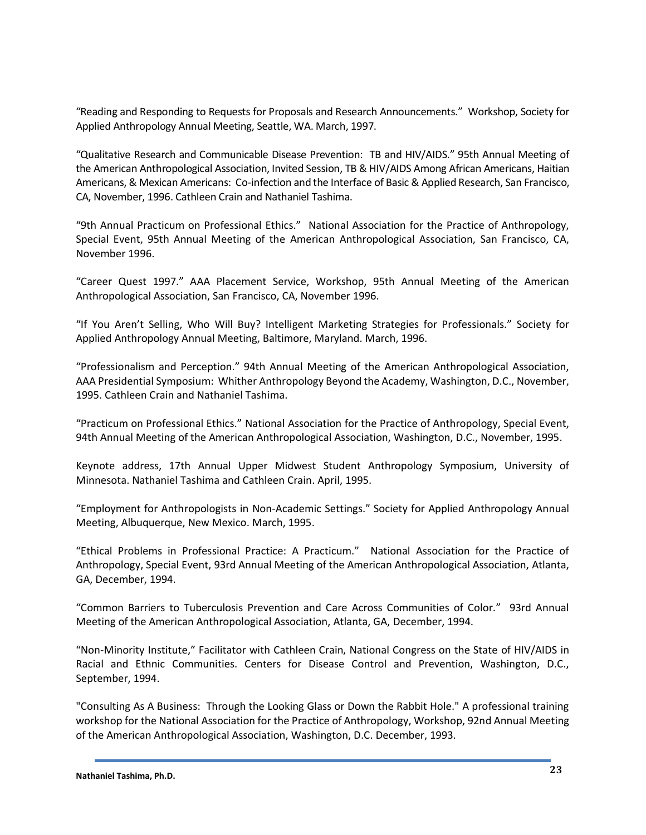"Reading and Responding to Requests for Proposals and Research Announcements." Workshop, Society for Applied Anthropology Annual Meeting, Seattle, WA. March, 1997.

"Qualitative Research and Communicable Disease Prevention: TB and HIV/AIDS." 95th Annual Meeting of the American Anthropological Association, Invited Session, TB & HIV/AIDS Among African Americans, Haitian Americans, & Mexican Americans: Co-infection and the Interface of Basic & Applied Research, San Francisco, CA, November, 1996. Cathleen Crain and Nathaniel Tashima.

"9th Annual Practicum on Professional Ethics." National Association for the Practice of Anthropology, Special Event, 95th Annual Meeting of the American Anthropological Association, San Francisco, CA, November 1996.

"Career Quest 1997." AAA Placement Service, Workshop, 95th Annual Meeting of the American Anthropological Association, San Francisco, CA, November 1996.

"If You Aren't Selling, Who Will Buy? Intelligent Marketing Strategies for Professionals." Society for Applied Anthropology Annual Meeting, Baltimore, Maryland. March, 1996.

"Professionalism and Perception." 94th Annual Meeting of the American Anthropological Association, AAA Presidential Symposium: Whither Anthropology Beyond the Academy, Washington, D.C., November, 1995. Cathleen Crain and Nathaniel Tashima.

"Practicum on Professional Ethics." National Association for the Practice of Anthropology, Special Event, 94th Annual Meeting of the American Anthropological Association, Washington, D.C., November, 1995.

Keynote address, 17th Annual Upper Midwest Student Anthropology Symposium, University of Minnesota. Nathaniel Tashima and Cathleen Crain. April, 1995.

"Employment for Anthropologists in Non-Academic Settings." Society for Applied Anthropology Annual Meeting, Albuquerque, New Mexico. March, 1995.

"Ethical Problems in Professional Practice: A Practicum." National Association for the Practice of Anthropology, Special Event, 93rd Annual Meeting of the American Anthropological Association, Atlanta, GA, December, 1994.

"Common Barriers to Tuberculosis Prevention and Care Across Communities of Color." 93rd Annual Meeting of the American Anthropological Association, Atlanta, GA, December, 1994.

"Non-Minority Institute," Facilitator with Cathleen Crain, National Congress on the State of HIV/AIDS in Racial and Ethnic Communities. Centers for Disease Control and Prevention, Washington, D.C., September, 1994.

"Consulting As A Business: Through the Looking Glass or Down the Rabbit Hole." A professional training workshop for the National Association for the Practice of Anthropology, Workshop, 92nd Annual Meeting of the American Anthropological Association, Washington, D.C. December, 1993.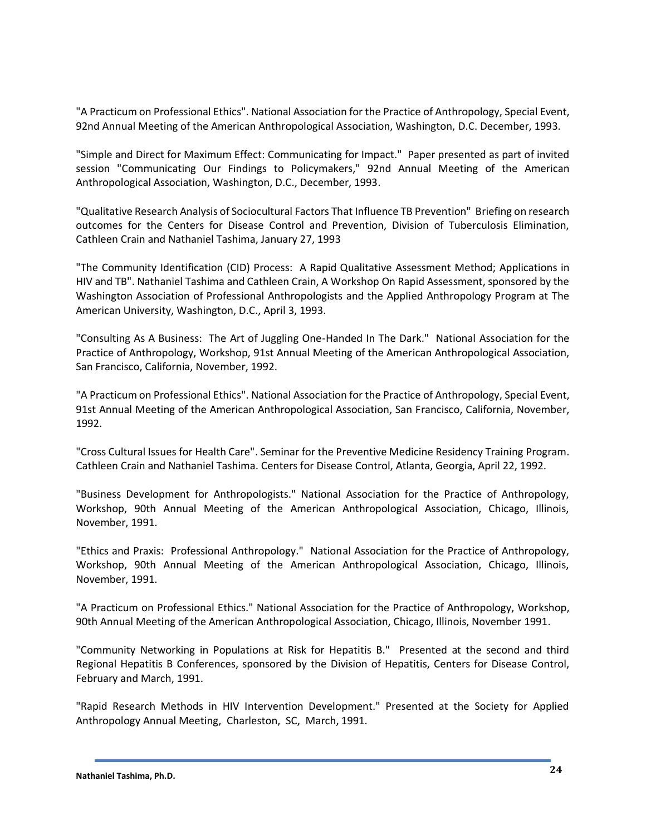"A Practicum on Professional Ethics". National Association for the Practice of Anthropology, Special Event, 92nd Annual Meeting of the American Anthropological Association, Washington, D.C. December, 1993.

"Simple and Direct for Maximum Effect: Communicating for Impact." Paper presented as part of invited session "Communicating Our Findings to Policymakers," 92nd Annual Meeting of the American Anthropological Association, Washington, D.C., December, 1993.

"Qualitative Research Analysis of Sociocultural Factors That Influence TB Prevention" Briefing on research outcomes for the Centers for Disease Control and Prevention, Division of Tuberculosis Elimination, Cathleen Crain and Nathaniel Tashima, January 27, 1993

"The Community Identification (CID) Process: A Rapid Qualitative Assessment Method; Applications in HIV and TB". Nathaniel Tashima and Cathleen Crain, A Workshop On Rapid Assessment, sponsored by the Washington Association of Professional Anthropologists and the Applied Anthropology Program at The American University, Washington, D.C., April 3, 1993.

"Consulting As A Business: The Art of Juggling One-Handed In The Dark." National Association for the Practice of Anthropology, Workshop, 91st Annual Meeting of the American Anthropological Association, San Francisco, California, November, 1992.

"A Practicum on Professional Ethics". National Association for the Practice of Anthropology, Special Event, 91st Annual Meeting of the American Anthropological Association, San Francisco, California, November, 1992.

"Cross Cultural Issues for Health Care". Seminar for the Preventive Medicine Residency Training Program. Cathleen Crain and Nathaniel Tashima. Centers for Disease Control, Atlanta, Georgia, April 22, 1992.

"Business Development for Anthropologists." National Association for the Practice of Anthropology, Workshop, 90th Annual Meeting of the American Anthropological Association, Chicago, Illinois, November, 1991.

"Ethics and Praxis: Professional Anthropology." National Association for the Practice of Anthropology, Workshop, 90th Annual Meeting of the American Anthropological Association, Chicago, Illinois, November, 1991.

"A Practicum on Professional Ethics." National Association for the Practice of Anthropology, Workshop, 90th Annual Meeting of the American Anthropological Association, Chicago, Illinois, November 1991.

"Community Networking in Populations at Risk for Hepatitis B." Presented at the second and third Regional Hepatitis B Conferences, sponsored by the Division of Hepatitis, Centers for Disease Control, February and March, 1991.

"Rapid Research Methods in HIV Intervention Development." Presented at the Society for Applied Anthropology Annual Meeting, Charleston, SC, March, 1991.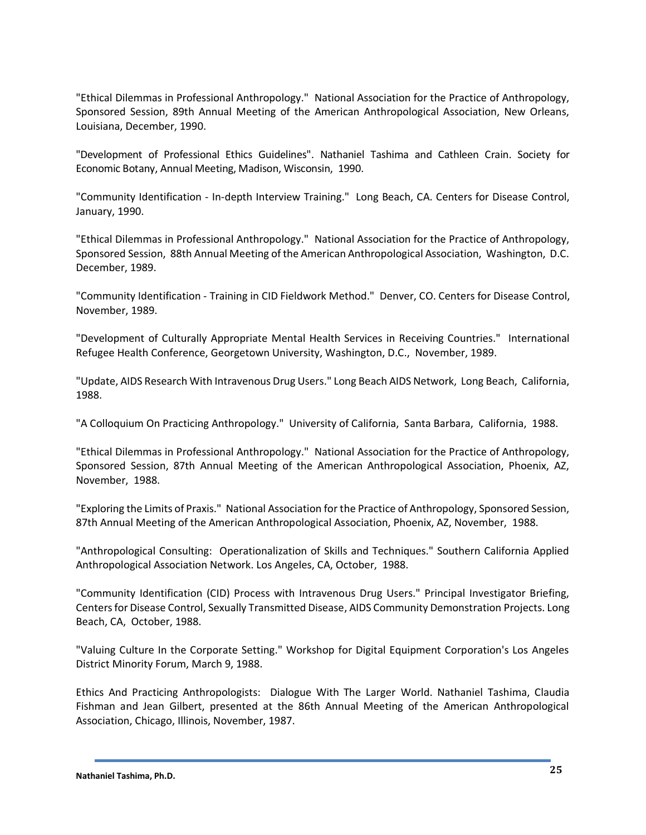"Ethical Dilemmas in Professional Anthropology." National Association for the Practice of Anthropology, Sponsored Session, 89th Annual Meeting of the American Anthropological Association, New Orleans, Louisiana, December, 1990.

"Development of Professional Ethics Guidelines". Nathaniel Tashima and Cathleen Crain. Society for Economic Botany, Annual Meeting, Madison, Wisconsin, 1990.

"Community Identification - In-depth Interview Training." Long Beach, CA. Centers for Disease Control, January, 1990.

"Ethical Dilemmas in Professional Anthropology." National Association for the Practice of Anthropology, Sponsored Session, 88th Annual Meeting of the American Anthropological Association, Washington, D.C. December, 1989.

"Community Identification - Training in CID Fieldwork Method." Denver, CO. Centers for Disease Control, November, 1989.

"Development of Culturally Appropriate Mental Health Services in Receiving Countries." International Refugee Health Conference, Georgetown University, Washington, D.C., November, 1989.

"Update, AIDS Research With Intravenous Drug Users." Long Beach AIDS Network, Long Beach, California, 1988.

"A Colloquium On Practicing Anthropology." University of California, Santa Barbara, California, 1988.

"Ethical Dilemmas in Professional Anthropology." National Association for the Practice of Anthropology, Sponsored Session, 87th Annual Meeting of the American Anthropological Association, Phoenix, AZ, November, 1988.

"Exploring the Limits of Praxis." National Association for the Practice of Anthropology, Sponsored Session, 87th Annual Meeting of the American Anthropological Association, Phoenix, AZ, November, 1988.

"Anthropological Consulting: Operationalization of Skills and Techniques." Southern California Applied Anthropological Association Network. Los Angeles, CA, October, 1988.

"Community Identification (CID) Process with Intravenous Drug Users." Principal Investigator Briefing, Centers for Disease Control, Sexually Transmitted Disease, AIDS Community Demonstration Projects. Long Beach, CA, October, 1988.

"Valuing Culture In the Corporate Setting." Workshop for Digital Equipment Corporation's Los Angeles District Minority Forum, March 9, 1988.

Ethics And Practicing Anthropologists: Dialogue With The Larger World. Nathaniel Tashima, Claudia Fishman and Jean Gilbert, presented at the 86th Annual Meeting of the American Anthropological Association, Chicago, Illinois, November, 1987.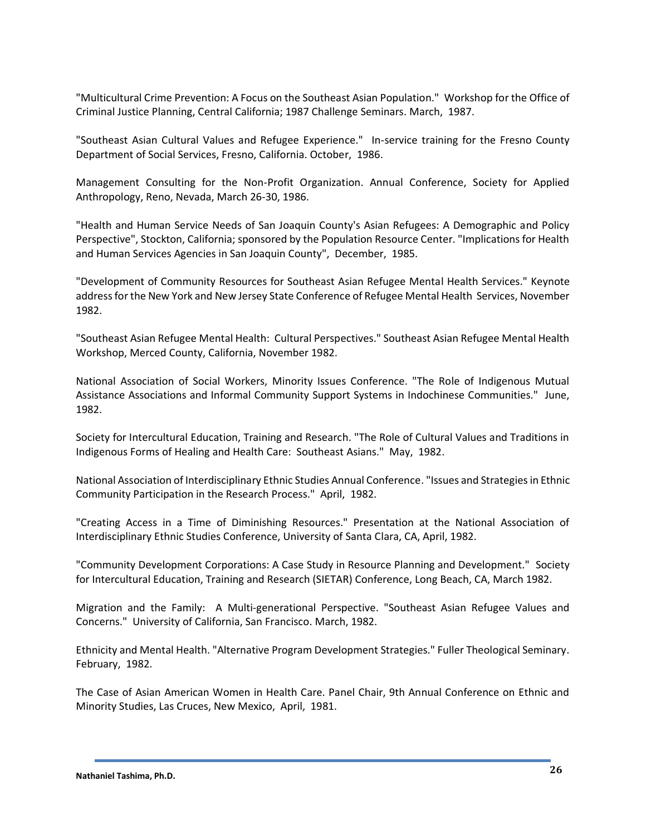"Multicultural Crime Prevention: A Focus on the Southeast Asian Population." Workshop for the Office of Criminal Justice Planning, Central California; 1987 Challenge Seminars. March, 1987.

"Southeast Asian Cultural Values and Refugee Experience." In-service training for the Fresno County Department of Social Services, Fresno, California. October, 1986.

Management Consulting for the Non-Profit Organization. Annual Conference, Society for Applied Anthropology, Reno, Nevada, March 26-30, 1986.

"Health and Human Service Needs of San Joaquin County's Asian Refugees: A Demographic and Policy Perspective", Stockton, California; sponsored by the Population Resource Center. "Implications for Health and Human Services Agencies in San Joaquin County", December, 1985.

"Development of Community Resources for Southeast Asian Refugee Mental Health Services." Keynote address for the New York and New Jersey State Conference of Refugee Mental Health Services, November 1982.

"Southeast Asian Refugee Mental Health: Cultural Perspectives." Southeast Asian Refugee Mental Health Workshop, Merced County, California, November 1982.

National Association of Social Workers, Minority Issues Conference. "The Role of Indigenous Mutual Assistance Associations and Informal Community Support Systems in Indochinese Communities." June, 1982.

Society for Intercultural Education, Training and Research. "The Role of Cultural Values and Traditions in Indigenous Forms of Healing and Health Care: Southeast Asians." May, 1982.

National Association of Interdisciplinary Ethnic Studies Annual Conference. "Issues and Strategies in Ethnic Community Participation in the Research Process." April, 1982.

"Creating Access in a Time of Diminishing Resources." Presentation at the National Association of Interdisciplinary Ethnic Studies Conference, University of Santa Clara, CA, April, 1982.

"Community Development Corporations: A Case Study in Resource Planning and Development." Society for Intercultural Education, Training and Research (SIETAR) Conference, Long Beach, CA, March 1982.

Migration and the Family: A Multi-generational Perspective. "Southeast Asian Refugee Values and Concerns." University of California, San Francisco. March, 1982.

Ethnicity and Mental Health. "Alternative Program Development Strategies." Fuller Theological Seminary. February, 1982.

The Case of Asian American Women in Health Care. Panel Chair, 9th Annual Conference on Ethnic and Minority Studies, Las Cruces, New Mexico, April, 1981.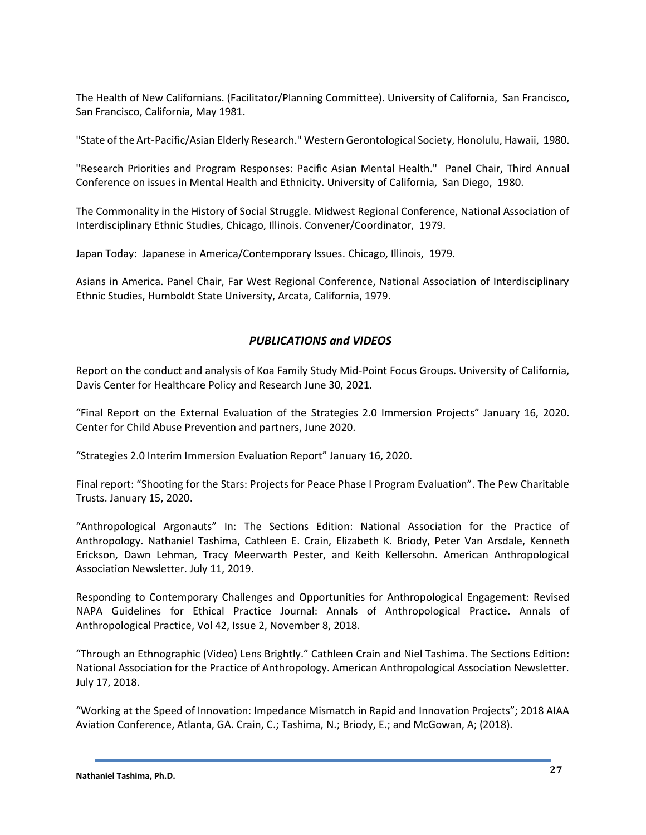The Health of New Californians. (Facilitator/Planning Committee). University of California, San Francisco, San Francisco, California, May 1981.

"State of the Art-Pacific/Asian Elderly Research." Western Gerontological Society, Honolulu, Hawaii, 1980.

"Research Priorities and Program Responses: Pacific Asian Mental Health." Panel Chair, Third Annual Conference on issues in Mental Health and Ethnicity. University of California, San Diego, 1980.

The Commonality in the History of Social Struggle. Midwest Regional Conference, National Association of Interdisciplinary Ethnic Studies, Chicago, Illinois. Convener/Coordinator, 1979.

Japan Today: Japanese in America/Contemporary Issues. Chicago, Illinois, 1979.

Asians in America. Panel Chair, Far West Regional Conference, National Association of Interdisciplinary Ethnic Studies, Humboldt State University, Arcata, California, 1979.

# *PUBLICATIONS and VIDEOS*

Report on the conduct and analysis of Koa Family Study Mid-Point Focus Groups. University of California, Davis Center for Healthcare Policy and Research June 30, 2021.

"Final Report on the External Evaluation of the Strategies 2.0 Immersion Projects" January 16, 2020. Center for Child Abuse Prevention and partners, June 2020.

"Strategies 2.0 Interim Immersion Evaluation Report" January 16, 2020.

Final report: "Shooting for the Stars: Projects for Peace Phase I Program Evaluation". The Pew Charitable Trusts. January 15, 2020.

"Anthropological Argonauts" In: The Sections Edition: National Association for the Practice of Anthropology. Nathaniel Tashima, Cathleen E. Crain, Elizabeth K. Briody, Peter Van Arsdale, Kenneth Erickson, Dawn Lehman, Tracy Meerwarth Pester, and Keith Kellersohn. American Anthropological Association Newsletter. July 11, 2019.

Responding to Contemporary Challenges and Opportunities for Anthropological Engagement: Revised NAPA Guidelines for Ethical Practice Journal: Annals of Anthropological Practice. Annals of Anthropological Practice, Vol 42, Issue 2, November 8, 2018.

"Through an Ethnographic (Video) Lens Brightly." Cathleen Crain and Niel Tashima. The Sections Edition: National Association for the Practice of Anthropology. American Anthropological Association Newsletter. July 17, 2018.

"Working at the Speed of Innovation: Impedance Mismatch in Rapid and Innovation Projects"; 2018 AIAA Aviation Conference, Atlanta, GA. Crain, C.; Tashima, N.; Briody, E.; and McGowan, A; (2018).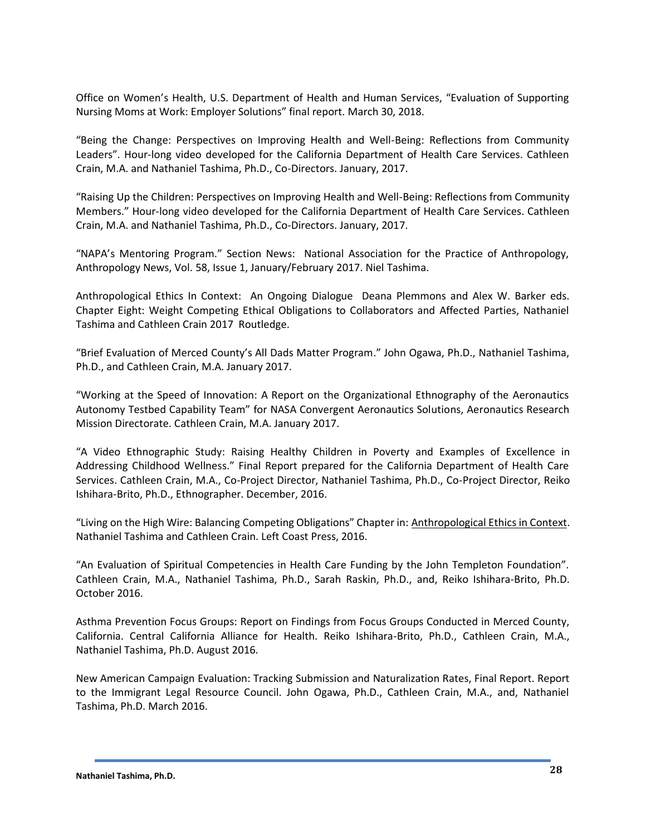Office on Women's Health, U.S. Department of Health and Human Services, "Evaluation of Supporting Nursing Moms at Work: Employer Solutions" final report. March 30, 2018.

"Being the Change: Perspectives on Improving Health and Well-Being: Reflections from Community Leaders". Hour-long video developed for the California Department of Health Care Services. Cathleen Crain, M.A. and Nathaniel Tashima, Ph.D., Co-Directors. January, 2017.

"Raising Up the Children: Perspectives on Improving Health and Well-Being: Reflections from Community Members." Hour-long video developed for the California Department of Health Care Services. Cathleen Crain, M.A. and Nathaniel Tashima, Ph.D., Co-Directors. January, 2017.

"NAPA's Mentoring Program." Section News: National Association for the Practice of Anthropology, Anthropology News, Vol. 58, Issue 1, January/February 2017. Niel Tashima.

Anthropological Ethics In Context: An Ongoing Dialogue Deana Plemmons and Alex W. Barker eds. Chapter Eight: Weight Competing Ethical Obligations to Collaborators and Affected Parties, Nathaniel Tashima and Cathleen Crain 2017 Routledge.

"Brief Evaluation of Merced County's All Dads Matter Program." John Ogawa, Ph.D., Nathaniel Tashima, Ph.D., and Cathleen Crain, M.A. January 2017.

"Working at the Speed of Innovation: A Report on the Organizational Ethnography of the Aeronautics Autonomy Testbed Capability Team" for NASA Convergent Aeronautics Solutions, Aeronautics Research Mission Directorate. Cathleen Crain, M.A. January 2017.

"A Video Ethnographic Study: Raising Healthy Children in Poverty and Examples of Excellence in Addressing Childhood Wellness." Final Report prepared for the California Department of Health Care Services. Cathleen Crain, M.A., Co-Project Director, Nathaniel Tashima, Ph.D., Co-Project Director, Reiko Ishihara-Brito, Ph.D., Ethnographer. December, 2016.

"Living on the High Wire: Balancing Competing Obligations" Chapter in: Anthropological Ethics in Context. Nathaniel Tashima and Cathleen Crain. Left Coast Press, 2016.

"An Evaluation of Spiritual Competencies in Health Care Funding by the John Templeton Foundation". Cathleen Crain, M.A., Nathaniel Tashima, Ph.D., Sarah Raskin, Ph.D., and, Reiko Ishihara-Brito, Ph.D. October 2016.

Asthma Prevention Focus Groups: Report on Findings from Focus Groups Conducted in Merced County, California. Central California Alliance for Health. Reiko Ishihara-Brito, Ph.D., Cathleen Crain, M.A., Nathaniel Tashima, Ph.D. August 2016.

New American Campaign Evaluation: Tracking Submission and Naturalization Rates, Final Report. Report to the Immigrant Legal Resource Council. John Ogawa, Ph.D., Cathleen Crain, M.A., and, Nathaniel Tashima, Ph.D. March 2016.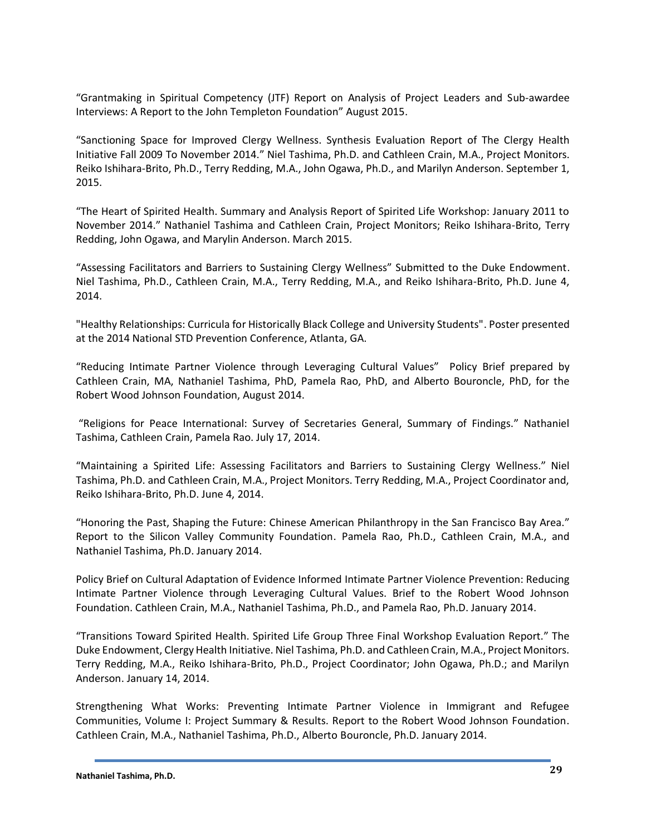"Grantmaking in Spiritual Competency (JTF) Report on Analysis of Project Leaders and Sub-awardee Interviews: A Report to the John Templeton Foundation" August 2015.

"Sanctioning Space for Improved Clergy Wellness. Synthesis Evaluation Report of The Clergy Health Initiative Fall 2009 To November 2014." Niel Tashima, Ph.D. and Cathleen Crain, M.A., Project Monitors. Reiko Ishihara-Brito, Ph.D., Terry Redding, M.A., John Ogawa, Ph.D., and Marilyn Anderson. September 1, 2015.

"The Heart of Spirited Health. Summary and Analysis Report of Spirited Life Workshop: January 2011 to November 2014." Nathaniel Tashima and Cathleen Crain, Project Monitors; Reiko Ishihara-Brito, Terry Redding, John Ogawa, and Marylin Anderson. March 2015.

"Assessing Facilitators and Barriers to Sustaining Clergy Wellness" Submitted to the Duke Endowment. Niel Tashima, Ph.D., Cathleen Crain, M.A., Terry Redding, M.A., and Reiko Ishihara-Brito, Ph.D. June 4, 2014.

"Healthy Relationships: Curricula for Historically Black College and University Students". Poster presented at the 2014 National STD Prevention Conference, Atlanta, GA.

"Reducing Intimate Partner Violence through Leveraging Cultural Values" Policy Brief prepared by Cathleen Crain, MA, Nathaniel Tashima, PhD, Pamela Rao, PhD, and Alberto Bouroncle, PhD, for the Robert Wood Johnson Foundation, August 2014.

"Religions for Peace International: Survey of Secretaries General, Summary of Findings." Nathaniel Tashima, Cathleen Crain, Pamela Rao. July 17, 2014.

"Maintaining a Spirited Life: Assessing Facilitators and Barriers to Sustaining Clergy Wellness." Niel Tashima, Ph.D. and Cathleen Crain, M.A., Project Monitors. Terry Redding, M.A., Project Coordinator and, Reiko Ishihara-Brito, Ph.D. June 4, 2014.

"Honoring the Past, Shaping the Future: Chinese American Philanthropy in the San Francisco Bay Area." Report to the Silicon Valley Community Foundation. Pamela Rao, Ph.D., Cathleen Crain, M.A., and Nathaniel Tashima, Ph.D. January 2014.

Policy Brief on Cultural Adaptation of Evidence Informed Intimate Partner Violence Prevention: Reducing Intimate Partner Violence through Leveraging Cultural Values. Brief to the Robert Wood Johnson Foundation. Cathleen Crain, M.A., Nathaniel Tashima, Ph.D., and Pamela Rao, Ph.D. January 2014.

"Transitions Toward Spirited Health. Spirited Life Group Three Final Workshop Evaluation Report." The Duke Endowment, Clergy Health Initiative. Niel Tashima, Ph.D. and Cathleen Crain, M.A., Project Monitors. Terry Redding, M.A., Reiko Ishihara-Brito, Ph.D., Project Coordinator; John Ogawa, Ph.D.; and Marilyn Anderson. January 14, 2014.

Strengthening What Works: Preventing Intimate Partner Violence in Immigrant and Refugee Communities, Volume I: Project Summary & Results. Report to the Robert Wood Johnson Foundation. Cathleen Crain, M.A., Nathaniel Tashima, Ph.D., Alberto Bouroncle, Ph.D. January 2014.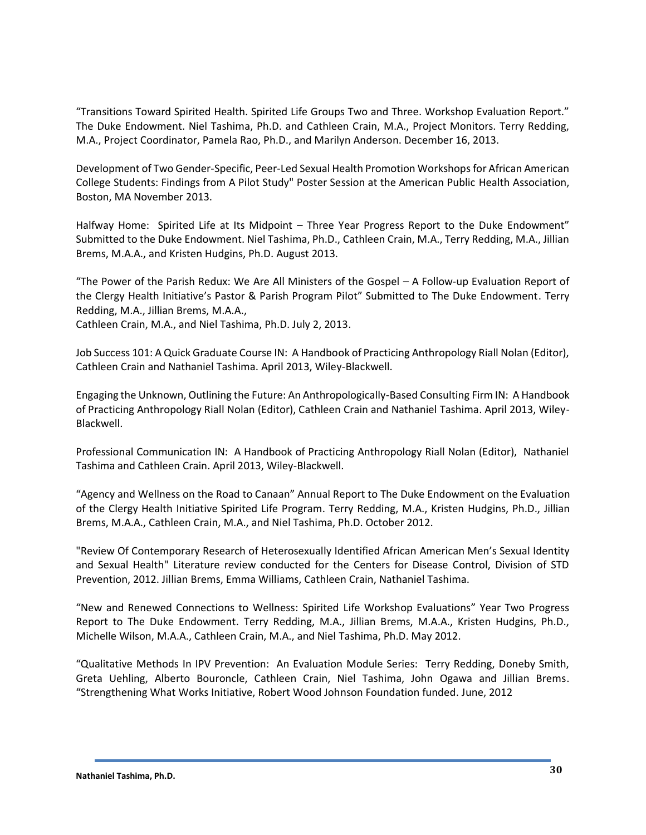"Transitions Toward Spirited Health. Spirited Life Groups Two and Three. Workshop Evaluation Report." The Duke Endowment. Niel Tashima, Ph.D. and Cathleen Crain, M.A., Project Monitors. Terry Redding, M.A., Project Coordinator, Pamela Rao, Ph.D., and Marilyn Anderson. December 16, 2013.

Development of Two Gender-Specific, Peer-Led Sexual Health Promotion Workshops for African American College Students: Findings from A Pilot Study" Poster Session at the American Public Health Association, Boston, MA November 2013.

Halfway Home: Spirited Life at Its Midpoint – Three Year Progress Report to the Duke Endowment" Submitted to the Duke Endowment. Niel Tashima, Ph.D., Cathleen Crain, M.A., Terry Redding, M.A., Jillian Brems, M.A.A., and Kristen Hudgins, Ph.D. August 2013.

"The Power of the Parish Redux: We Are All Ministers of the Gospel – A Follow-up Evaluation Report of the Clergy Health Initiative's Pastor & Parish Program Pilot" Submitted to The Duke Endowment. Terry Redding, M.A., Jillian Brems, M.A.A.,

Cathleen Crain, M.A., and Niel Tashima, Ph.D. July 2, 2013.

Job Success 101: A Quick Graduate Course IN: A Handbook of Practicing Anthropology Riall Nolan (Editor), Cathleen Crain and Nathaniel Tashima. April 2013, Wiley-Blackwell.

Engaging the Unknown, Outlining the Future: An Anthropologically-Based Consulting Firm IN: A Handbook of Practicing Anthropology Riall Nolan (Editor), Cathleen Crain and Nathaniel Tashima. April 2013, Wiley-Blackwell.

Professional Communication IN: A Handbook of Practicing Anthropology Riall Nolan (Editor), Nathaniel Tashima and Cathleen Crain. April 2013, Wiley-Blackwell.

"Agency and Wellness on the Road to Canaan" Annual Report to The Duke Endowment on the Evaluation of the Clergy Health Initiative Spirited Life Program. Terry Redding, M.A., Kristen Hudgins, Ph.D., Jillian Brems, M.A.A., Cathleen Crain, M.A., and Niel Tashima, Ph.D. October 2012.

"Review Of Contemporary Research of Heterosexually Identified African American Men's Sexual Identity and Sexual Health" Literature review conducted for the Centers for Disease Control, Division of STD Prevention, 2012. Jillian Brems, Emma Williams, Cathleen Crain, Nathaniel Tashima.

"New and Renewed Connections to Wellness: Spirited Life Workshop Evaluations" Year Two Progress Report to The Duke Endowment. Terry Redding, M.A., Jillian Brems, M.A.A., Kristen Hudgins, Ph.D., Michelle Wilson, M.A.A., Cathleen Crain, M.A., and Niel Tashima, Ph.D. May 2012.

"Qualitative Methods In IPV Prevention: An Evaluation Module Series: Terry Redding, Doneby Smith, Greta Uehling, Alberto Bouroncle, Cathleen Crain, Niel Tashima, John Ogawa and Jillian Brems. "Strengthening What Works Initiative, Robert Wood Johnson Foundation funded. June, 2012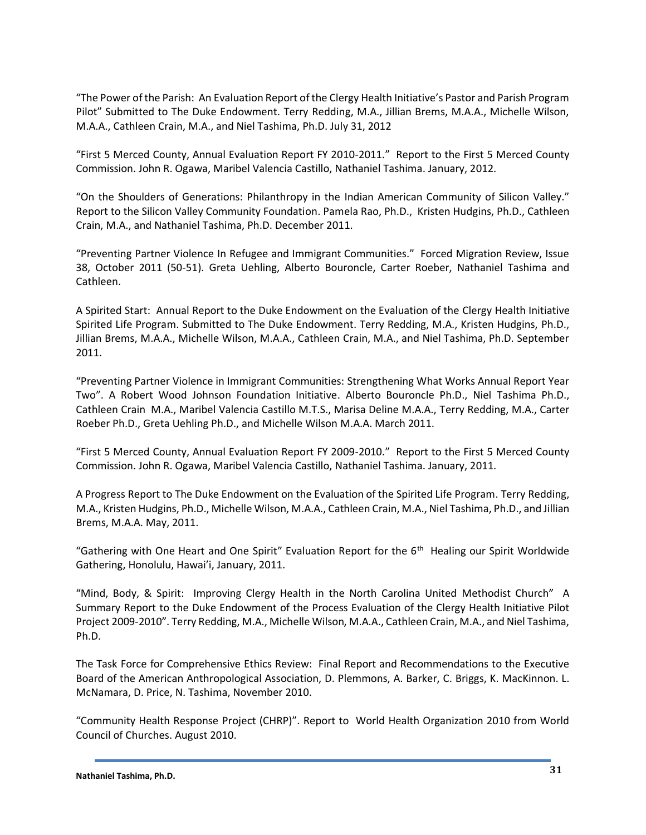"The Power of the Parish: An Evaluation Report of the Clergy Health Initiative's Pastor and Parish Program Pilot" Submitted to The Duke Endowment. Terry Redding, M.A., Jillian Brems, M.A.A., Michelle Wilson, M.A.A., Cathleen Crain, M.A., and Niel Tashima, Ph.D. July 31, 2012

"First 5 Merced County, Annual Evaluation Report FY 2010-2011." Report to the First 5 Merced County Commission. John R. Ogawa, Maribel Valencia Castillo, Nathaniel Tashima. January, 2012.

"On the Shoulders of Generations: Philanthropy in the Indian American Community of Silicon Valley." Report to the Silicon Valley Community Foundation. Pamela Rao, Ph.D., Kristen Hudgins, Ph.D., Cathleen Crain, M.A., and Nathaniel Tashima, Ph.D. December 2011.

"Preventing Partner Violence In Refugee and Immigrant Communities." Forced Migration Review, Issue 38, October 2011 (50-51). Greta Uehling, Alberto Bouroncle, Carter Roeber, Nathaniel Tashima and Cathleen.

A Spirited Start: Annual Report to the Duke Endowment on the Evaluation of the Clergy Health Initiative Spirited Life Program. Submitted to The Duke Endowment. Terry Redding, M.A., Kristen Hudgins, Ph.D., Jillian Brems, M.A.A., Michelle Wilson, M.A.A., Cathleen Crain, M.A., and Niel Tashima, Ph.D. September 2011.

"Preventing Partner Violence in Immigrant Communities: Strengthening What Works Annual Report Year Two". A Robert Wood Johnson Foundation Initiative. Alberto Bouroncle Ph.D., Niel Tashima Ph.D., Cathleen Crain M.A., Maribel Valencia Castillo M.T.S., Marisa Deline M.A.A., Terry Redding, M.A., Carter Roeber Ph.D., Greta Uehling Ph.D., and Michelle Wilson M.A.A. March 2011.

"First 5 Merced County, Annual Evaluation Report FY 2009-2010." Report to the First 5 Merced County Commission. John R. Ogawa, Maribel Valencia Castillo, Nathaniel Tashima. January, 2011.

A Progress Report to The Duke Endowment on the Evaluation of the Spirited Life Program. Terry Redding, M.A., Kristen Hudgins, Ph.D., Michelle Wilson, M.A.A., Cathleen Crain, M.A., Niel Tashima, Ph.D., and Jillian Brems, M.A.A. May, 2011.

"Gathering with One Heart and One Spirit" Evaluation Report for the 6<sup>th</sup> Healing our Spirit Worldwide Gathering, Honolulu, Hawai'i, January, 2011.

"Mind, Body, & Spirit: Improving Clergy Health in the North Carolina United Methodist Church" A Summary Report to the Duke Endowment of the Process Evaluation of the Clergy Health Initiative Pilot Project 2009‐2010". Terry Redding, M.A., Michelle Wilson, M.A.A., Cathleen Crain, M.A., and Niel Tashima, Ph.D.

The Task Force for Comprehensive Ethics Review: Final Report and Recommendations to the Executive Board of the American Anthropological Association, D. Plemmons, A. Barker, C. Briggs, K. MacKinnon. L. McNamara, D. Price, N. Tashima, November 2010.

"Community Health Response Project (CHRP)". Report to World Health Organization 2010 from World Council of Churches. August 2010.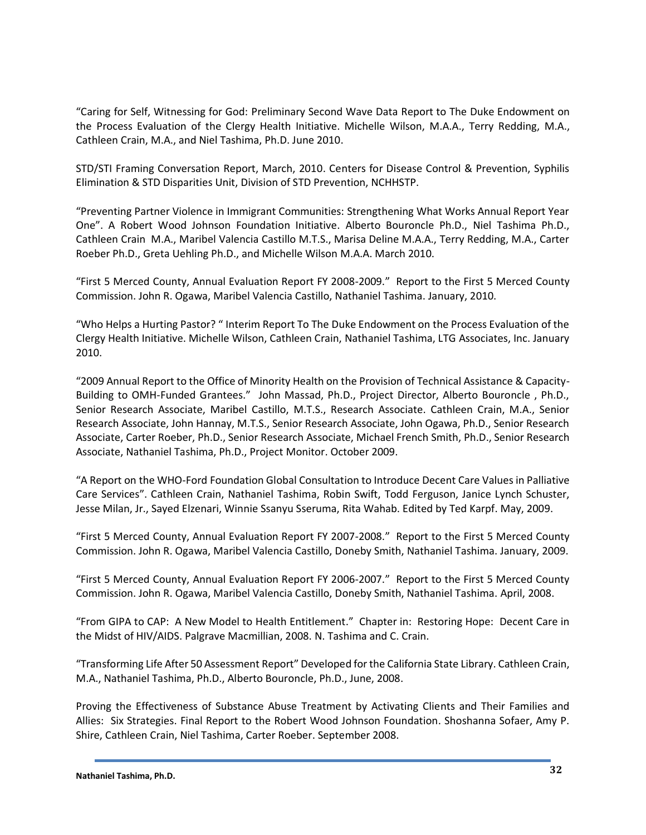"Caring for Self, Witnessing for God: Preliminary Second Wave Data Report to The Duke Endowment on the Process Evaluation of the Clergy Health Initiative. Michelle Wilson, M.A.A., Terry Redding, M.A., Cathleen Crain, M.A., and Niel Tashima, Ph.D. June 2010.

STD/STI Framing Conversation Report, March, 2010. Centers for Disease Control & Prevention, Syphilis Elimination & STD Disparities Unit, Division of STD Prevention, NCHHSTP.

"Preventing Partner Violence in Immigrant Communities: Strengthening What Works Annual Report Year One". A Robert Wood Johnson Foundation Initiative. Alberto Bouroncle Ph.D., Niel Tashima Ph.D., Cathleen Crain M.A., Maribel Valencia Castillo M.T.S., Marisa Deline M.A.A., Terry Redding, M.A., Carter Roeber Ph.D., Greta Uehling Ph.D., and Michelle Wilson M.A.A. March 2010.

"First 5 Merced County, Annual Evaluation Report FY 2008-2009." Report to the First 5 Merced County Commission. John R. Ogawa, Maribel Valencia Castillo, Nathaniel Tashima. January, 2010.

"Who Helps a Hurting Pastor? " Interim Report To The Duke Endowment on the Process Evaluation of the Clergy Health Initiative. Michelle Wilson, Cathleen Crain, Nathaniel Tashima, LTG Associates, Inc. January 2010.

"2009 Annual Report to the Office of Minority Health on the Provision of Technical Assistance & Capacity-Building to OMH-Funded Grantees." John Massad, Ph.D., Project Director, Alberto Bouroncle , Ph.D., Senior Research Associate, Maribel Castillo, M.T.S., Research Associate. Cathleen Crain, M.A., Senior Research Associate, John Hannay, M.T.S., Senior Research Associate, John Ogawa, Ph.D., Senior Research Associate, Carter Roeber, Ph.D., Senior Research Associate, Michael French Smith, Ph.D., Senior Research Associate, Nathaniel Tashima, Ph.D., Project Monitor. October 2009.

"A Report on the WHO-Ford Foundation Global Consultation to Introduce Decent Care Values in Palliative Care Services". Cathleen Crain, Nathaniel Tashima, Robin Swift, Todd Ferguson, Janice Lynch Schuster, Jesse Milan, Jr., Sayed Elzenari, Winnie Ssanyu Sseruma, Rita Wahab. Edited by Ted Karpf. May, 2009.

"First 5 Merced County, Annual Evaluation Report FY 2007-2008." Report to the First 5 Merced County Commission. John R. Ogawa, Maribel Valencia Castillo, Doneby Smith, Nathaniel Tashima. January, 2009.

"First 5 Merced County, Annual Evaluation Report FY 2006-2007." Report to the First 5 Merced County Commission. John R. Ogawa, Maribel Valencia Castillo, Doneby Smith, Nathaniel Tashima. April, 2008.

"From GIPA to CAP: A New Model to Health Entitlement." Chapter in: Restoring Hope: Decent Care in the Midst of HIV/AIDS. Palgrave Macmillian, 2008. N. Tashima and C. Crain.

"Transforming Life After 50 Assessment Report" Developed for the California State Library. Cathleen Crain, M.A., Nathaniel Tashima, Ph.D., Alberto Bouroncle, Ph.D., June, 2008.

Proving the Effectiveness of Substance Abuse Treatment by Activating Clients and Their Families and Allies: Six Strategies. Final Report to the Robert Wood Johnson Foundation. Shoshanna Sofaer, Amy P. Shire, Cathleen Crain, Niel Tashima, Carter Roeber. September 2008.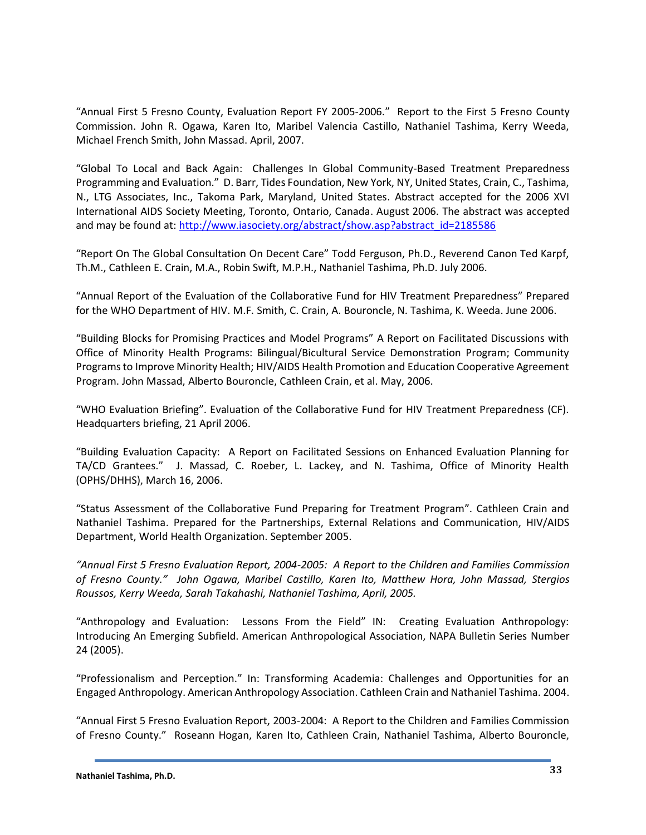"Annual First 5 Fresno County, Evaluation Report FY 2005-2006." Report to the First 5 Fresno County Commission. John R. Ogawa, Karen Ito, Maribel Valencia Castillo, Nathaniel Tashima, Kerry Weeda, Michael French Smith, John Massad. April, 2007.

"Global To Local and Back Again: Challenges In Global Community-Based Treatment Preparedness Programming and Evaluation." D. Barr, Tides Foundation, New York, NY, United States, Crain, C., Tashima, N., LTG Associates, Inc., Takoma Park, Maryland, United States. Abstract accepted for the 2006 XVI International AIDS Society Meeting, Toronto, Ontario, Canada. August 2006. The abstract was accepted and may be found at: [http://www.iasociety.org/abstract/show.asp?abstract\\_id=2185586](http://www.iasociety.org/abstract/show.asp?abstract_id=2185586)

"Report On The Global Consultation On Decent Care" Todd Ferguson, Ph.D., Reverend Canon Ted Karpf, Th.M., Cathleen E. Crain, M.A., Robin Swift, M.P.H., Nathaniel Tashima, Ph.D. July 2006.

"Annual Report of the Evaluation of the Collaborative Fund for HIV Treatment Preparedness" Prepared for the WHO Department of HIV. M.F. Smith, C. Crain, A. Bouroncle, N. Tashima, K. Weeda. June 2006.

"Building Blocks for Promising Practices and Model Programs" A Report on Facilitated Discussions with Office of Minority Health Programs: Bilingual/Bicultural Service Demonstration Program; Community Programs to Improve Minority Health; HIV/AIDS Health Promotion and Education Cooperative Agreement Program. John Massad, Alberto Bouroncle, Cathleen Crain, et al. May, 2006.

"WHO Evaluation Briefing". Evaluation of the Collaborative Fund for HIV Treatment Preparedness (CF). Headquarters briefing, 21 April 2006.

"Building Evaluation Capacity: A Report on Facilitated Sessions on Enhanced Evaluation Planning for TA/CD Grantees." J. Massad, C. Roeber, L. Lackey, and N. Tashima, Office of Minority Health (OPHS/DHHS), March 16, 2006.

"Status Assessment of the Collaborative Fund Preparing for Treatment Program". Cathleen Crain and Nathaniel Tashima. Prepared for the Partnerships, External Relations and Communication, HIV/AIDS Department, World Health Organization. September 2005.

*"Annual First 5 Fresno Evaluation Report, 2004-2005: A Report to the Children and Families Commission of Fresno County." John Ogawa, Maribel Castillo, Karen Ito, Matthew Hora, John Massad, Stergios Roussos, Kerry Weeda, Sarah Takahashi, Nathaniel Tashima, April, 2005.*

"Anthropology and Evaluation: Lessons From the Field" IN: Creating Evaluation Anthropology: Introducing An Emerging Subfield. American Anthropological Association, NAPA Bulletin Series Number 24 (2005).

"Professionalism and Perception." In: Transforming Academia: Challenges and Opportunities for an Engaged Anthropology. American Anthropology Association. Cathleen Crain and Nathaniel Tashima. 2004.

"Annual First 5 Fresno Evaluation Report, 2003-2004: A Report to the Children and Families Commission of Fresno County." Roseann Hogan, Karen Ito, Cathleen Crain, Nathaniel Tashima, Alberto Bouroncle,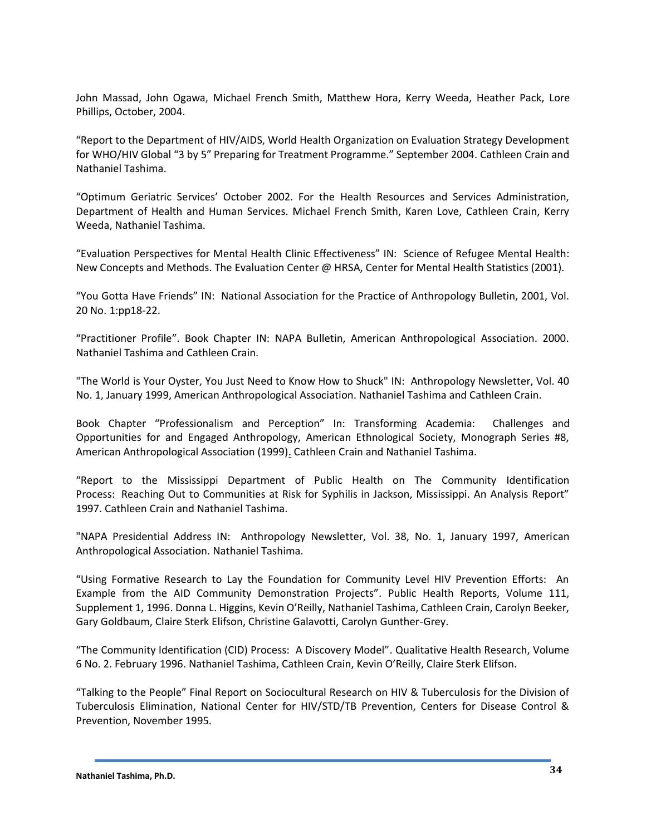John Massad, John Ogawa, Michael French Smith, Matthew Hora, Kerry Weeda, Heather Pack, Lore Phillips, October, 2004.

"Report to the Department of HIV/AIDS, World Health Organization on Evaluation Strategy Development for WHO/HIV Global "3 by 5" Preparing for Treatment Programme." September 2004. Cathleen Crain and Nathaniel Tashima.

"Optimum Geriatric Services' October 2002. For the Health Resources and Services Administration, Department of Health and Human Services. Michael French Smith, Karen Love, Cathleen Crain, Kerry Weeda, Nathaniel Tashima.

"Evaluation Perspectives for Mental Health Clinic Effectiveness" IN: Science of Refugee Mental Health: New Concepts and Methods. The Evaluation Center @ HRSA, Center for Mental Health Statistics (2001).

"You Gotta Have Friends" IN: National Association for the Practice of Anthropology Bulletin, 2001, Vol. 20 No. 1:pp18-22.

"Practitioner Profile". Book Chapter IN: NAPA Bulletin, American Anthropological Association. 2000. Nathaniel Tashima and Cathleen Crain.

"The World is Your Oyster, You Just Need to Know How to Shuck" IN: Anthropology Newsletter, Vol. 40 No. 1, January 1999, American Anthropological Association. Nathaniel Tashima and Cathleen Crain.

Book Chapter "Professionalism and Perception" In: Transforming Academia: Challenges and Opportunities for and Engaged Anthropology, American Ethnological Society, Monograph Series #8, American Anthropological Association (1999). Cathleen Crain and Nathaniel Tashima.

"Report to the Mississippi Department of Public Health on The Community Identification Process: Reaching Out to Communities at Risk for Syphilis in Jackson, Mississippi. An Analysis Report" 1997. Cathleen Crain and Nathaniel Tashima.

"NAPA Presidential Address IN: Anthropology Newsletter, Vol. 38, No. 1, January 1997, American Anthropological Association. Nathaniel Tashima.

"Using Formative Research to Lay the Foundation for Community Level HIV Prevention Efforts: An Example from the AID Community Demonstration Projects". Public Health Reports, Volume 111, Supplement 1, 1996. Donna L. Higgins, Kevin O'Reilly, Nathaniel Tashima, Cathleen Crain, Carolyn Beeker, Gary Goldbaum, Claire Sterk Elifson, Christine Galavotti, Carolyn Gunther-Grey.

"The Community Identification (CID) Process: A Discovery Model". Qualitative Health Research, Volume 6 No. 2. February 1996. Nathaniel Tashima, Cathleen Crain, Kevin O'Reilly, Claire Sterk Elifson.

"Talking to the People" Final Report on Sociocultural Research on HIV & Tuberculosis for the Division of Tuberculosis Elimination, National Center for HIV/STD/TB Prevention, Centers for Disease Control & Prevention, November 1995.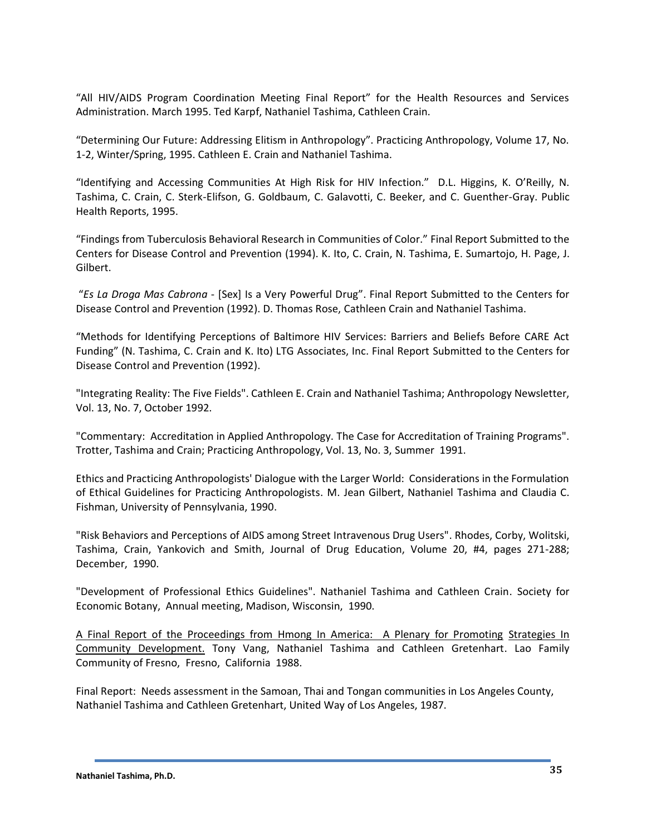"All HIV/AIDS Program Coordination Meeting Final Report" for the Health Resources and Services Administration. March 1995. Ted Karpf, Nathaniel Tashima, Cathleen Crain.

"Determining Our Future: Addressing Elitism in Anthropology". Practicing Anthropology, Volume 17, No. 1-2, Winter/Spring, 1995. Cathleen E. Crain and Nathaniel Tashima.

"Identifying and Accessing Communities At High Risk for HIV Infection." D.L. Higgins, K. O'Reilly, N. Tashima, C. Crain, C. Sterk-Elifson, G. Goldbaum, C. Galavotti, C. Beeker, and C. Guenther-Gray. Public Health Reports, 1995.

"Findings from Tuberculosis Behavioral Research in Communities of Color." Final Report Submitted to the Centers for Disease Control and Prevention (1994). K. Ito, C. Crain, N. Tashima, E. Sumartojo, H. Page, J. Gilbert.

"*Es La Droga Mas Cabrona* - [Sex] Is a Very Powerful Drug". Final Report Submitted to the Centers for Disease Control and Prevention (1992). D. Thomas Rose, Cathleen Crain and Nathaniel Tashima.

"Methods for Identifying Perceptions of Baltimore HIV Services: Barriers and Beliefs Before CARE Act Funding" (N. Tashima, C. Crain and K. Ito) LTG Associates, Inc. Final Report Submitted to the Centers for Disease Control and Prevention (1992).

"Integrating Reality: The Five Fields". Cathleen E. Crain and Nathaniel Tashima; Anthropology Newsletter, Vol. 13, No. 7, October 1992.

"Commentary: Accreditation in Applied Anthropology. The Case for Accreditation of Training Programs". Trotter, Tashima and Crain; Practicing Anthropology, Vol. 13, No. 3, Summer 1991.

Ethics and Practicing Anthropologists' Dialogue with the Larger World: Considerations in the Formulation of Ethical Guidelines for Practicing Anthropologists. M. Jean Gilbert, Nathaniel Tashima and Claudia C. Fishman, University of Pennsylvania, 1990.

"Risk Behaviors and Perceptions of AIDS among Street Intravenous Drug Users". Rhodes, Corby, Wolitski, Tashima, Crain, Yankovich and Smith, Journal of Drug Education, Volume 20, #4, pages 271-288; December, 1990.

"Development of Professional Ethics Guidelines". Nathaniel Tashima and Cathleen Crain. Society for Economic Botany, Annual meeting, Madison, Wisconsin, 1990.

A Final Report of the Proceedings from Hmong In America: A Plenary for Promoting Strategies In Community Development. Tony Vang, Nathaniel Tashima and Cathleen Gretenhart. Lao Family Community of Fresno, Fresno, California 1988.

Final Report: Needs assessment in the Samoan, Thai and Tongan communities in Los Angeles County, Nathaniel Tashima and Cathleen Gretenhart, United Way of Los Angeles, 1987.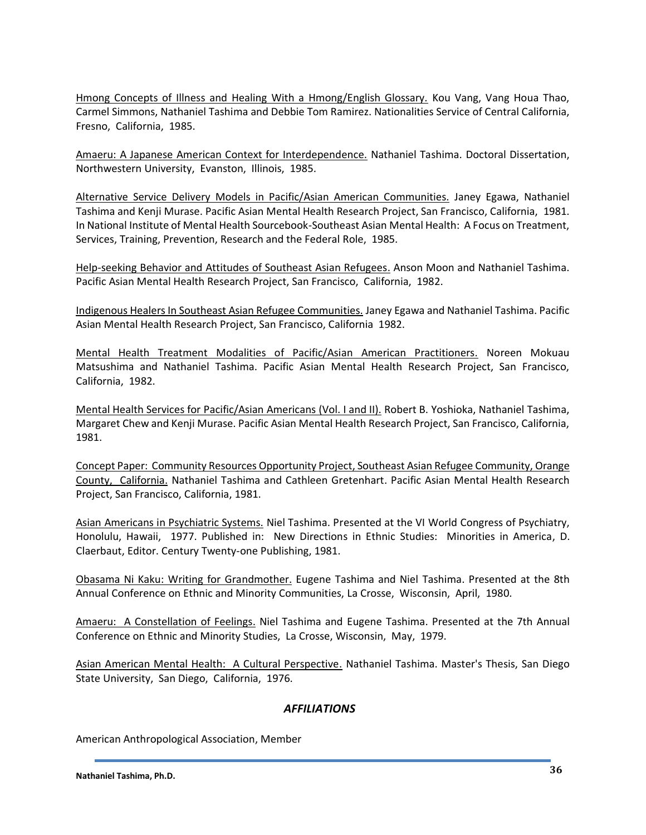Hmong Concepts of Illness and Healing With a Hmong/English Glossary. Kou Vang, Vang Houa Thao, Carmel Simmons, Nathaniel Tashima and Debbie Tom Ramirez. Nationalities Service of Central California, Fresno, California, 1985.

Amaeru: A Japanese American Context for Interdependence. Nathaniel Tashima. Doctoral Dissertation, Northwestern University, Evanston, Illinois, 1985.

Alternative Service Delivery Models in Pacific/Asian American Communities. Janey Egawa, Nathaniel Tashima and Kenji Murase. Pacific Asian Mental Health Research Project, San Francisco, California, 1981. In National Institute of Mental Health Sourcebook-Southeast Asian Mental Health: A Focus on Treatment, Services, Training, Prevention, Research and the Federal Role, 1985.

Help-seeking Behavior and Attitudes of Southeast Asian Refugees. Anson Moon and Nathaniel Tashima. Pacific Asian Mental Health Research Project, San Francisco, California, 1982.

Indigenous Healers In Southeast Asian Refugee Communities. Janey Egawa and Nathaniel Tashima. Pacific Asian Mental Health Research Project, San Francisco, California 1982.

Mental Health Treatment Modalities of Pacific/Asian American Practitioners. Noreen Mokuau Matsushima and Nathaniel Tashima. Pacific Asian Mental Health Research Project, San Francisco, California, 1982.

Mental Health Services for Pacific/Asian Americans (Vol. I and II). Robert B. Yoshioka, Nathaniel Tashima, Margaret Chew and Kenji Murase. Pacific Asian Mental Health Research Project, San Francisco, California, 1981.

Concept Paper: Community Resources Opportunity Project, Southeast Asian Refugee Community, Orange County, California. Nathaniel Tashima and Cathleen Gretenhart. Pacific Asian Mental Health Research Project, San Francisco, California, 1981.

Asian Americans in Psychiatric Systems. Niel Tashima. Presented at the VI World Congress of Psychiatry, Honolulu, Hawaii, 1977. Published in: New Directions in Ethnic Studies: Minorities in America, D. Claerbaut, Editor. Century Twenty-one Publishing, 1981.

Obasama Ni Kaku: Writing for Grandmother. Eugene Tashima and Niel Tashima. Presented at the 8th Annual Conference on Ethnic and Minority Communities, La Crosse, Wisconsin, April, 1980.

Amaeru: A Constellation of Feelings. Niel Tashima and Eugene Tashima. Presented at the 7th Annual Conference on Ethnic and Minority Studies, La Crosse, Wisconsin, May, 1979.

Asian American Mental Health: A Cultural Perspective. Nathaniel Tashima. Master's Thesis, San Diego State University, San Diego, California, 1976.

# *AFFILIATIONS*

American Anthropological Association, Member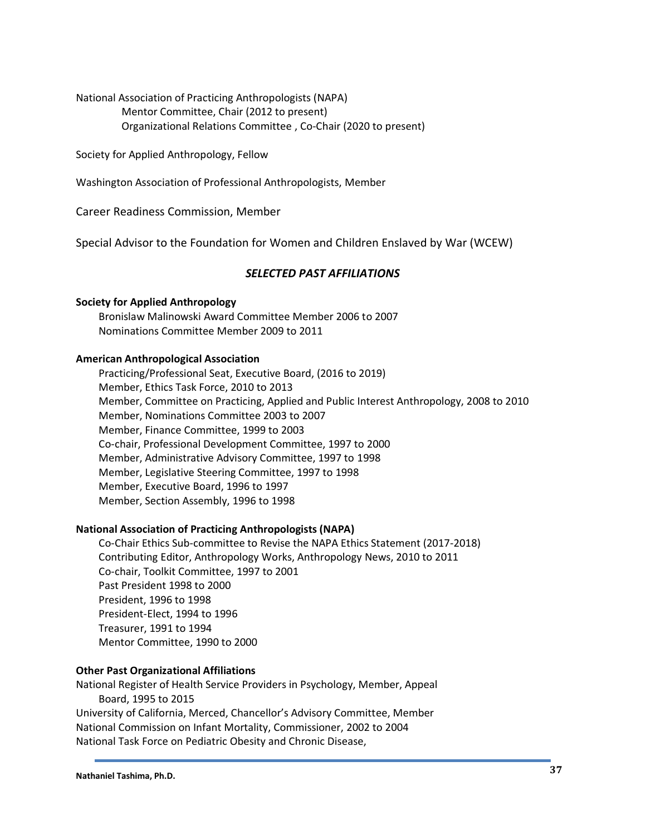National Association of Practicing Anthropologists (NAPA) Mentor Committee, Chair (2012 to present) Organizational Relations Committee , Co-Chair (2020 to present)

Society for Applied Anthropology, Fellow

Washington Association of Professional Anthropologists, Member

Career Readiness Commission, Member

Special Advisor to the Foundation for Women and Children Enslaved by War (WCEW)

## *SELECTED PAST AFFILIATIONS*

#### **Society for Applied Anthropology**

Bronislaw Malinowski Award Committee Member 2006 to 2007 Nominations Committee Member 2009 to 2011

#### **American Anthropological Association**

Practicing/Professional Seat, Executive Board, (2016 to 2019) Member, Ethics Task Force, 2010 to 2013 Member, Committee on Practicing, Applied and Public Interest Anthropology, 2008 to 2010 Member, Nominations Committee 2003 to 2007 Member, Finance Committee, 1999 to 2003 Co-chair, Professional Development Committee, 1997 to 2000 Member, Administrative Advisory Committee, 1997 to 1998 Member, Legislative Steering Committee, 1997 to 1998 Member, Executive Board, 1996 to 1997 Member, Section Assembly, 1996 to 1998

### **National Association of Practicing Anthropologists (NAPA)**

Co-Chair Ethics Sub-committee to Revise the NAPA Ethics Statement (2017-2018) Contributing Editor, Anthropology Works, Anthropology News, 2010 to 2011 Co-chair, Toolkit Committee, 1997 to 2001 Past President 1998 to 2000 President, 1996 to 1998 President-Elect, 1994 to 1996 Treasurer, 1991 to 1994 Mentor Committee, 1990 to 2000

#### **Other Past Organizational Affiliations**

National Register of Health Service Providers in Psychology, Member, Appeal Board, 1995 to 2015 University of California, Merced, Chancellor's Advisory Committee, Member National Commission on Infant Mortality, Commissioner, 2002 to 2004 National Task Force on Pediatric Obesity and Chronic Disease,